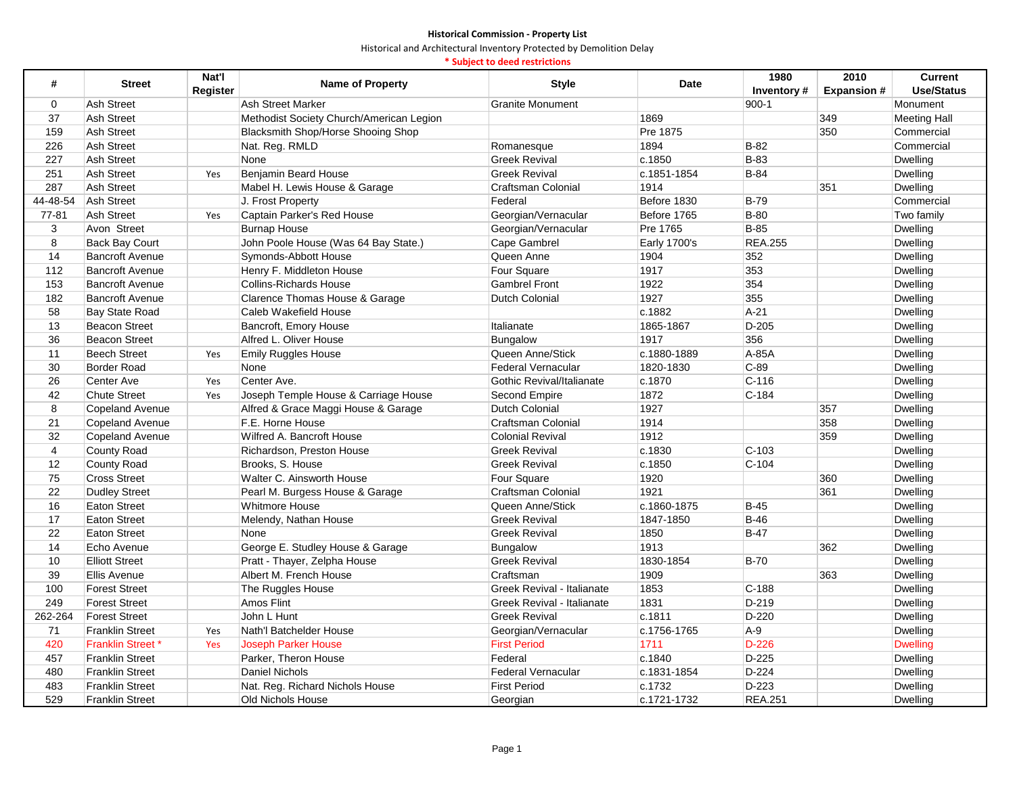Historical and Architectural Inventory Protected by Demolition Delay

# **\* Subject to deed restrictions**

| #              | <b>Street</b>           | Nat'l    | <b>Name of Property</b>                  | <b>Style</b>               | Date         | 1980           | 2010              | <b>Current</b>      |
|----------------|-------------------------|----------|------------------------------------------|----------------------------|--------------|----------------|-------------------|---------------------|
|                |                         | Register |                                          |                            |              | Inventory#     | <b>Expansion#</b> | <b>Use/Status</b>   |
| $\Omega$       | <b>Ash Street</b>       |          | Ash Street Marker                        | <b>Granite Monument</b>    |              | $900 - 1$      |                   | Monument            |
| 37             | <b>Ash Street</b>       |          | Methodist Society Church/American Legion |                            | 1869         |                | 349               | <b>Meeting Hall</b> |
| 159            | <b>Ash Street</b>       |          | Blacksmith Shop/Horse Shooing Shop       |                            | Pre 1875     |                | 350               | Commercial          |
| 226            | <b>Ash Street</b>       |          | Nat. Reg. RMLD                           | Romanesque                 | 1894         | $B-82$         |                   | Commercial          |
| 227            | <b>Ash Street</b>       |          | None                                     | <b>Greek Revival</b>       | c.1850       | $B-83$         |                   | Dwelling            |
| 251            | <b>Ash Street</b>       | Yes      | <b>Benjamin Beard House</b>              | <b>Greek Revival</b>       | c.1851-1854  | $B-84$         |                   | Dwelling            |
| 287            | <b>Ash Street</b>       |          | Mabel H. Lewis House & Garage            | <b>Craftsman Colonial</b>  | 1914         |                | 351               | Dwelling            |
| 44-48-54       | Ash Street              |          | J. Frost Property                        | Federal                    | Before 1830  | <b>B-79</b>    |                   | Commercial          |
| $77 - 81$      | <b>Ash Street</b>       | Yes      | Captain Parker's Red House               | Georgian/Vernacular        | Before 1765  | $B-80$         |                   | Two family          |
| 3              | Avon Street             |          | <b>Burnap House</b>                      | Georgian/Vernacular        | Pre 1765     | $B-85$         |                   | Dwelling            |
| 8              | <b>Back Bay Court</b>   |          | John Poole House (Was 64 Bay State.)     | Cape Gambrel               | Early 1700's | <b>REA.255</b> |                   | Dwelling            |
| 14             | <b>Bancroft Avenue</b>  |          | Symonds-Abbott House                     | Queen Anne                 | 1904         | 352            |                   | Dwelling            |
| 112            | <b>Bancroft Avenue</b>  |          | Henry F. Middleton House                 | Four Square                | 1917         | 353            |                   | <b>Dwelling</b>     |
| 153            | <b>Bancroft Avenue</b>  |          | <b>Collins-Richards House</b>            | <b>Gambrel Front</b>       | 1922         | 354            |                   | Dwelling            |
| 182            | <b>Bancroft Avenue</b>  |          | Clarence Thomas House & Garage           | <b>Dutch Colonial</b>      | 1927         | 355            |                   | Dwelling            |
| 58             | Bay State Road          |          | Caleb Wakefield House                    |                            | c.1882       | $A-21$         |                   | Dwelling            |
| 13             | <b>Beacon Street</b>    |          | Bancroft, Emory House                    | Italianate                 | 1865-1867    | $D-205$        |                   | <b>Dwelling</b>     |
| 36             | <b>Beacon Street</b>    |          | Alfred L. Oliver House                   | <b>Bungalow</b>            | 1917         | 356            |                   | <b>Dwelling</b>     |
| 11             | <b>Beech Street</b>     | Yes      | Emily Ruggles House                      | Queen Anne/Stick           | c.1880-1889  | A-85A          |                   | Dwelling            |
| 30             | <b>Border Road</b>      |          | None                                     | <b>Federal Vernacular</b>  | 1820-1830    | $C-89$         |                   | Dwelling            |
| 26             | Center Ave              | Yes      | Center Ave.                              | Gothic Revival/Italianate  | c.1870       | $C-116$        |                   | Dwelling            |
| 42             | <b>Chute Street</b>     | Yes      | Joseph Temple House & Carriage House     | Second Empire              | 1872         | $C-184$        |                   | <b>Dwelling</b>     |
| 8              | Copeland Avenue         |          | Alfred & Grace Maggi House & Garage      | Dutch Colonial             | 1927         |                | 357               | Dwelling            |
| 21             | <b>Copeland Avenue</b>  |          | F.E. Horne House                         | Craftsman Colonial         | 1914         |                | 358               | Dwelling            |
| 32             | Copeland Avenue         |          | Wilfred A. Bancroft House                | <b>Colonial Revival</b>    | 1912         |                | 359               | <b>Dwelling</b>     |
| $\overline{4}$ | County Road             |          | Richardson, Preston House                | <b>Greek Revival</b>       | c.1830       | $C-103$        |                   | <b>Dwelling</b>     |
| 12             | County Road             |          | Brooks, S. House                         | <b>Greek Revival</b>       | c.1850       | $C-104$        |                   | Dwelling            |
| 75             | <b>Cross Street</b>     |          | Walter C. Ainsworth House                | Four Square                | 1920         |                | 360               | Dwelling            |
| 22             | <b>Dudley Street</b>    |          | Pearl M. Burgess House & Garage          | <b>Craftsman Colonial</b>  | 1921         |                | 361               | Dwelling            |
| 16             | <b>Eaton Street</b>     |          | Whitmore House                           | Queen Anne/Stick           | c.1860-1875  | $B-45$         |                   | <b>Dwelling</b>     |
| 17             | <b>Eaton Street</b>     |          | Melendy, Nathan House                    | <b>Greek Revival</b>       | 1847-1850    | $B-46$         |                   | Dwelling            |
| 22             | <b>Eaton Street</b>     |          | None                                     | <b>Greek Revival</b>       | 1850         | $B-47$         |                   | Dwelling            |
| 14             | Echo Avenue             |          | George E. Studley House & Garage         | <b>Bungalow</b>            | 1913         |                | 362               | Dwelling            |
| 10             | <b>Elliott Street</b>   |          | Pratt - Thayer, Zelpha House             | <b>Greek Revival</b>       | 1830-1854    | $B-70$         |                   | <b>Dwelling</b>     |
| 39             | Ellis Avenue            |          | Albert M. French House                   | Craftsman                  | 1909         |                | 363               | Dwelling            |
| 100            | <b>Forest Street</b>    |          | The Ruggles House                        | Greek Revival - Italianate | 1853         | $C-188$        |                   | Dwelling            |
| 249            | <b>Forest Street</b>    |          | Amos Flint                               | Greek Revival - Italianate | 1831         | $D-219$        |                   | Dwelling            |
| 262-264        | <b>Forest Street</b>    |          | John L Hunt                              | <b>Greek Revival</b>       | c.1811       | $D-220$        |                   | <b>Dwelling</b>     |
| 71             | <b>Franklin Street</b>  | Yes      | Nath'l Batchelder House                  | Georgian/Vernacular        | c.1756-1765  | $A-9$          |                   | <b>Dwelling</b>     |
| 420            | <b>Franklin Street*</b> | Yes      | <b>Joseph Parker House</b>               | <b>First Period</b>        | 1711         | $D-226$        |                   | <b>Dwelling</b>     |
| 457            | <b>Franklin Street</b>  |          | Parker, Theron House                     | Federal                    | c.1840       | $D-225$        |                   | Dwelling            |
| 480            | <b>Franklin Street</b>  |          | <b>Daniel Nichols</b>                    | Federal Vernacular         | c.1831-1854  | $D-224$        |                   | Dwelling            |
| 483            | <b>Franklin Street</b>  |          | Nat. Reg. Richard Nichols House          | <b>First Period</b>        | c.1732       | $D-223$        |                   | Dwelling            |
| 529            | <b>Franklin Street</b>  |          | Old Nichols House                        | Georgian                   | c.1721-1732  | <b>REA.251</b> |                   | Dwelling            |
|                |                         |          |                                          |                            |              |                |                   |                     |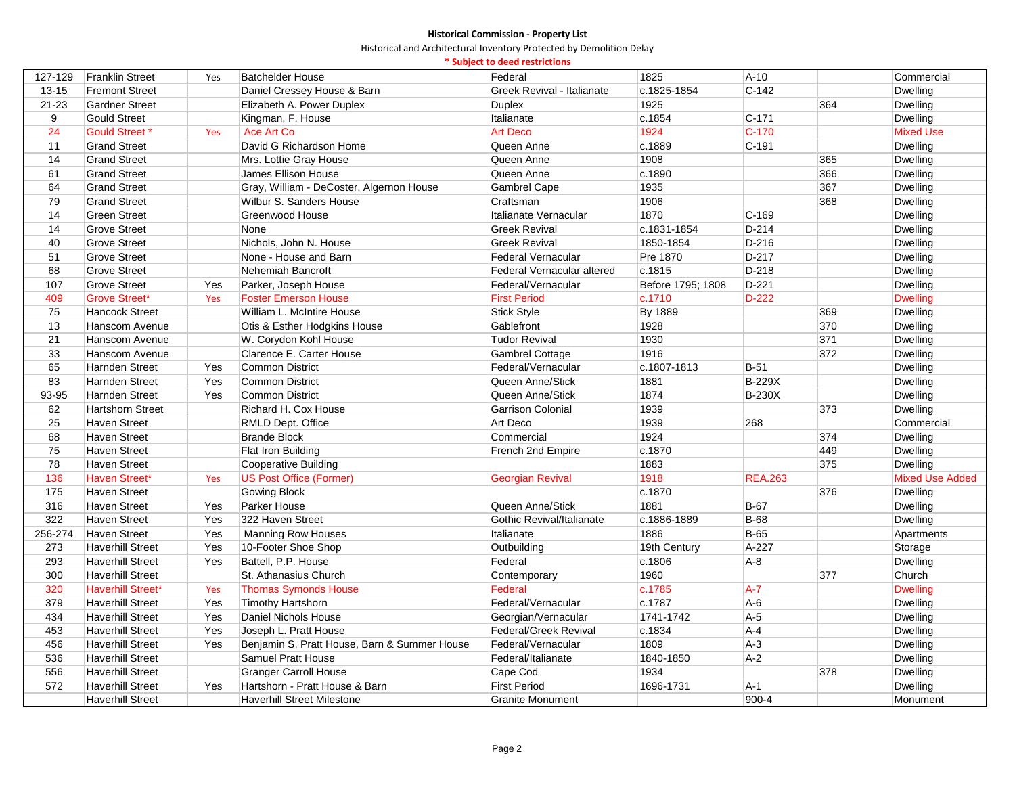|           |                          |     |                                              | * Subject to deed restrictions |                   |                |     |                        |
|-----------|--------------------------|-----|----------------------------------------------|--------------------------------|-------------------|----------------|-----|------------------------|
| 127-129   | <b>Franklin Street</b>   | Yes | <b>Batchelder House</b>                      | Federal                        | 1825              | $A-10$         |     | Commercial             |
| $13 - 15$ | <b>Fremont Street</b>    |     | Daniel Cressey House & Barn                  | Greek Revival - Italianate     | c.1825-1854       | $C-142$        |     | Dwelling               |
| $21 - 23$ | <b>Gardner Street</b>    |     | Elizabeth A. Power Duplex                    | <b>Duplex</b>                  | 1925              |                | 364 | <b>Dwelling</b>        |
| 9         | <b>Gould Street</b>      |     | Kingman, F. House                            | Italianate                     | c.1854            | $C - 171$      |     | Dwelling               |
| 24        | <b>Gould Street *</b>    | Yes | Ace Art Co                                   | <b>Art Deco</b>                | 1924              | $C-170$        |     | <b>Mixed Use</b>       |
| 11        | <b>Grand Street</b>      |     | David G Richardson Home                      | Queen Anne                     | c.1889            | $C-191$        |     | <b>Dwelling</b>        |
| 14        | <b>Grand Street</b>      |     | Mrs. Lottie Gray House                       | Queen Anne                     | 1908              |                | 365 | <b>Dwelling</b>        |
| 61        | <b>Grand Street</b>      |     | James Ellison House                          | Queen Anne                     | c.1890            |                | 366 | <b>Dwelling</b>        |
| 64        | <b>Grand Street</b>      |     | Gray, William - DeCoster, Algernon House     | <b>Gambrel Cape</b>            | 1935              |                | 367 | <b>Dwelling</b>        |
| 79        | <b>Grand Street</b>      |     | Wilbur S. Sanders House                      | Craftsman                      | 1906              |                | 368 | Dwelling               |
| 14        | <b>Green Street</b>      |     | Greenwood House                              | Italianate Vernacular          | 1870              | $C-169$        |     | <b>Dwelling</b>        |
| 14        | <b>Grove Street</b>      |     | None                                         | <b>Greek Revival</b>           | c.1831-1854       | $D-214$        |     | Dwelling               |
| 40        | <b>Grove Street</b>      |     | Nichols, John N. House                       | <b>Greek Revival</b>           | 1850-1854         | $D-216$        |     | Dwelling               |
| 51        | <b>Grove Street</b>      |     | None - House and Barn                        | <b>Federal Vernacular</b>      | Pre 1870          | $D-217$        |     | <b>Dwelling</b>        |
| 68        | <b>Grove Street</b>      |     | Nehemiah Bancroft                            | Federal Vernacular altered     | c.1815            | $D-218$        |     | Dwelling               |
| 107       | <b>Grove Street</b>      | Yes | Parker, Joseph House                         | Federal/Vernacular             | Before 1795; 1808 | $D-221$        |     | <b>Dwelling</b>        |
| 409       | <b>Grove Street*</b>     | Yes | <b>Foster Emerson House</b>                  | <b>First Period</b>            | c.1710            | D-222          |     | <b>Dwelling</b>        |
| 75        | <b>Hancock Street</b>    |     | William L. McIntire House                    | Stick Style                    | By 1889           |                | 369 | Dwelling               |
| 13        | Hanscom Avenue           |     | Otis & Esther Hodgkins House                 | Gablefront                     | 1928              |                | 370 | <b>Dwelling</b>        |
| 21        | Hanscom Avenue           |     | W. Corydon Kohl House                        | <b>Tudor Revival</b>           | 1930              |                | 371 | Dwelling               |
| 33        | Hanscom Avenue           |     | Clarence E. Carter House                     | <b>Gambrel Cottage</b>         | 1916              |                | 372 | <b>Dwelling</b>        |
| 65        | <b>Harnden Street</b>    | Yes | <b>Common District</b>                       | Federal/Vernacular             | c.1807-1813       | $B-51$         |     | <b>Dwelling</b>        |
| 83        | <b>Harnden Street</b>    | Yes | <b>Common District</b>                       | Queen Anne/Stick               | 1881              | <b>B-229X</b>  |     | Dwelling               |
| 93-95     | <b>Harnden Street</b>    | Yes | <b>Common District</b>                       | Queen Anne/Stick               | 1874              | <b>B-230X</b>  |     | <b>Dwelling</b>        |
| 62        | <b>Hartshorn Street</b>  |     | Richard H. Cox House                         | <b>Garrison Colonial</b>       | 1939              |                | 373 | <b>Dwelling</b>        |
| 25        | <b>Haven Street</b>      |     | RMLD Dept. Office                            | Art Deco                       | 1939              | 268            |     | Commercial             |
| 68        | <b>Haven Street</b>      |     | <b>Brande Block</b>                          | Commercial                     | 1924              |                | 374 | <b>Dwelling</b>        |
| 75        | <b>Haven Street</b>      |     | Flat Iron Building                           | French 2nd Empire              | c.1870            |                | 449 | Dwelling               |
| 78        | <b>Haven Street</b>      |     | <b>Cooperative Building</b>                  |                                | 1883              |                | 375 | <b>Dwelling</b>        |
| 136       | Haven Street*            | Yes | <b>US Post Office (Former)</b>               | <b>Georgian Revival</b>        | 1918              | <b>REA.263</b> |     | <b>Mixed Use Added</b> |
| 175       | <b>Haven Street</b>      |     | Gowing Block                                 |                                | c.1870            |                | 376 | Dwelling               |
| 316       | <b>Haven Street</b>      | Yes | Parker House                                 | Queen Anne/Stick               | 1881              | <b>B-67</b>    |     | <b>Dwelling</b>        |
| 322       | <b>Haven Street</b>      | Yes | 322 Haven Street                             | Gothic Revival/Italianate      | c.1886-1889       | <b>B-68</b>    |     | <b>Dwelling</b>        |
| 256-274   | <b>Haven Street</b>      | Yes | <b>Manning Row Houses</b>                    | Italianate                     | 1886              | $B-65$         |     | Apartments             |
| 273       | <b>Haverhill Street</b>  | Yes | 10-Footer Shoe Shop                          | Outbuilding                    | 19th Century      | A-227          |     | Storage                |
| 293       | <b>Haverhill Street</b>  | Yes | Battell, P.P. House                          | Federal                        | c.1806            | $A-8$          |     | Dwelling               |
| 300       | <b>Haverhill Street</b>  |     | St. Athanasius Church                        | Contemporary                   | 1960              |                | 377 | Church                 |
| 320       | <b>Haverhill Street*</b> | Yes | <b>Thomas Symonds House</b>                  | Federal                        | c.1785            | $A - 7$        |     | <b>Dwelling</b>        |
| 379       | <b>Haverhill Street</b>  | Yes | <b>Timothy Hartshorn</b>                     | Federal/Vernacular             | c.1787            | $A-6$          |     | <b>Dwelling</b>        |
| 434       | <b>Haverhill Street</b>  | Yes | Daniel Nichols House                         | Georgian/Vernacular            | 1741-1742         | $A-5$          |     | <b>Dwelling</b>        |
| 453       | <b>Haverhill Street</b>  | Yes | Joseph L. Pratt House                        | Federal/Greek Revival          | c.1834            | $A-4$          |     | Dwelling               |
| 456       | <b>Haverhill Street</b>  | Yes | Benjamin S. Pratt House, Barn & Summer House | Federal/Vernacular             | 1809              | $A-3$          |     | <b>Dwelling</b>        |
| 536       | <b>Haverhill Street</b>  |     | <b>Samuel Pratt House</b>                    | Federal/Italianate             | 1840-1850         | $A-2$          |     | <b>Dwelling</b>        |
| 556       | <b>Haverhill Street</b>  |     | <b>Granger Carroll House</b>                 | Cape Cod                       | 1934              |                | 378 | <b>Dwelling</b>        |
| 572       | <b>Haverhill Street</b>  | Yes | Hartshorn - Pratt House & Barn               | <b>First Period</b>            | 1696-1731         | $A-1$          |     | <b>Dwelling</b>        |
|           | <b>Haverhill Street</b>  |     | <b>Haverhill Street Milestone</b>            | <b>Granite Monument</b>        |                   | 900-4          |     | Monument               |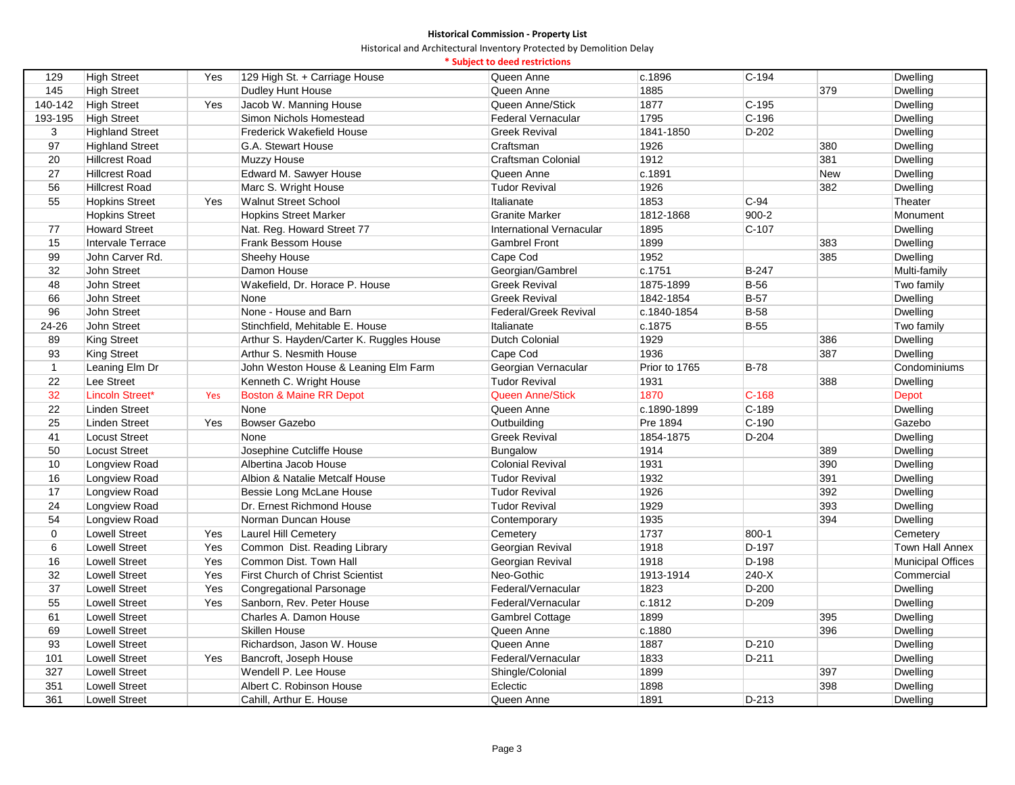Historical and Architectural Inventory Protected by Demolition Delay

# **\* Subject to deed restrictions**

| 129          | <b>High Street</b>             | Yes | 129 High St. + Carriage House            | Queen Anne               | c.1896        | $C-194$        |            | Dwelling                    |
|--------------|--------------------------------|-----|------------------------------------------|--------------------------|---------------|----------------|------------|-----------------------------|
| 145          | <b>High Street</b>             |     | Dudley Hunt House                        | Queen Anne               | 1885          |                | 379        | Dwelling                    |
| 140-142      | <b>High Street</b>             | Yes | Jacob W. Manning House                   | Queen Anne/Stick         | 1877          | $C-195$        |            | Dwelling                    |
| 193-195      | <b>High Street</b>             |     | Simon Nichols Homestead                  | Federal Vernacular       | 1795          | $C-196$        |            | Dwelling                    |
| 3            | <b>Highland Street</b>         |     | <b>Frederick Wakefield House</b>         | Greek Revival            | 1841-1850     | $D-202$        |            | Dwelling                    |
| 97           | <b>Highland Street</b>         |     | G.A. Stewart House                       | Craftsman                | 1926          |                | 380        | Dwelling                    |
| 20           | <b>Hillcrest Road</b>          |     | Muzzy House                              | Craftsman Colonial       | 1912          |                | 381        | Dwelling                    |
| 27           | <b>Hillcrest Road</b>          |     | Edward M. Sawyer House                   | Queen Anne               | c.1891        |                | <b>New</b> | Dwelling                    |
| 56           | <b>Hillcrest Road</b>          |     | Marc S. Wright House                     | <b>Tudor Revival</b>     | 1926          |                | 382        | Dwelling                    |
| 55           | <b>Hopkins Street</b>          | Yes | <b>Walnut Street School</b>              | Italianate               | 1853          | $C-94$         |            | Theater                     |
|              | <b>Hopkins Street</b>          |     | <b>Hopkins Street Marker</b>             | <b>Granite Marker</b>    | 1812-1868     | 900-2          |            | Monument                    |
| 77           | <b>Howard Street</b>           |     | Nat. Reg. Howard Street 77               | International Vernacular | 1895          | $C-107$        |            | <b>Dwelling</b>             |
| 15           | <b>Intervale Terrace</b>       |     | Frank Bessom House                       | <b>Gambrel Front</b>     | 1899          |                | 383        | Dwelling                    |
| 99           | John Carver Rd.                |     | Sheehy House                             | Cape Cod                 | 1952          |                | 385        | Dwelling                    |
| 32           | John Street                    |     | Damon House                              | Georgian/Gambrel         | c.1751        | B-247          |            | Multi-family                |
| 48           | John Street                    |     | Wakefield, Dr. Horace P. House           | <b>Greek Revival</b>     | 1875-1899     | <b>B-56</b>    |            | Two family                  |
| 66           | John Street                    |     | None                                     | <b>Greek Revival</b>     | 1842-1854     | <b>B-57</b>    |            | Dwelling                    |
| 96           | John Street                    |     | None - House and Barn                    | Federal/Greek Revival    | c.1840-1854   | <b>B-58</b>    |            | <b>Dwelling</b>             |
| $24 - 26$    | John Street                    |     | Stinchfield, Mehitable E. House          | Italianate               | c.1875        | <b>B-55</b>    |            | Two family                  |
| 89           | King Street                    |     | Arthur S. Hayden/Carter K. Ruggles House | Dutch Colonial           | 1929          |                | 386        | Dwelling                    |
| 93           | King Street                    |     | Arthur S. Nesmith House                  | Cape Cod                 | 1936          |                | 387        | Dwelling                    |
| $\mathbf{1}$ | Leaning Elm Dr                 |     | John Weston House & Leaning Elm Farm     | Georgian Vernacular      | Prior to 1765 | $B-78$         |            | Condominiums                |
| 22           | Lee Street                     |     | Kenneth C. Wright House                  | <b>Tudor Revival</b>     | 1931          |                | 388        | Dwelling                    |
| 32           | <b>Lincoln Street*</b>         | Yes | <b>Boston &amp; Maine RR Depot</b>       | <b>Queen Anne/Stick</b>  | 1870          | $C-168$        |            | Depot                       |
| 22           | <b>Linden Street</b>           |     | None                                     | Queen Anne               | c.1890-1899   | $C-189$        |            | <b>Dwelling</b>             |
| 25           | <b>Linden Street</b>           | Yes | <b>Bowser Gazebo</b>                     | Outbuilding              | Pre 1894      | $C-190$        |            | Gazebo                      |
| 41           | <b>Locust Street</b>           |     | None                                     | <b>Greek Revival</b>     | 1854-1875     | $D-204$        |            | Dwelling                    |
| 50           | <b>Locust Street</b>           |     | Josephine Cutcliffe House                | <b>Bungalow</b>          | 1914          |                | 389        | <b>Dwelling</b>             |
| 10           | Longview Road                  |     | Albertina Jacob House                    | <b>Colonial Revival</b>  | 1931          |                | 390        | Dwelling                    |
| 16           |                                |     | Albion & Natalie Metcalf House           | <b>Tudor Revival</b>     | 1932          |                | 391        |                             |
| 17           | Longview Road<br>Longview Road |     | Bessie Long McLane House                 | <b>Tudor Revival</b>     | 1926          |                | 392        | <b>Dwelling</b>             |
| 24           | Longview Road                  |     | Dr. Ernest Richmond House                | <b>Tudor Revival</b>     | 1929          |                | 393        | Dwelling                    |
| 54           |                                |     | Norman Duncan House                      |                          | 1935          |                | 394        | <b>Dwelling</b><br>Dwelling |
| $\mathbf 0$  | Longview Road                  | Yes |                                          | Contemporary             |               |                |            |                             |
|              | <b>Lowell Street</b>           |     | <b>Laurel Hill Cemetery</b>              | Cemetery                 | 1737<br>1918  | 800-1<br>D-197 |            | Cemetery                    |
| 6            | <b>Lowell Street</b>           | Yes | Common Dist. Reading Library             | Georgian Revival         |               |                |            | <b>Town Hall Annex</b>      |
| 16           | <b>Lowell Street</b>           | Yes | Common Dist. Town Hall                   | Georgian Revival         | 1918          | $D-198$        |            | <b>Municipal Offices</b>    |
| 32           | <b>Lowell Street</b>           | Yes | First Church of Christ Scientist         | Neo-Gothic               | 1913-1914     | $240-X$        |            | Commercial                  |
| 37           | <b>Lowell Street</b>           | Yes | Congregational Parsonage                 | Federal/Vernacular       | 1823          | D-200          |            | Dwelling                    |
| 55           | <b>Lowell Street</b>           | Yes | Sanborn, Rev. Peter House                | Federal/Vernacular       | c.1812        | $D-209$        |            | Dwelling                    |
| 61           | <b>Lowell Street</b>           |     | Charles A. Damon House                   | Gambrel Cottage          | 1899          |                | 395        | <b>Dwelling</b>             |
| 69           | <b>Lowell Street</b>           |     | <b>Skillen House</b>                     | Queen Anne               | c.1880        |                | 396        | Dwelling                    |
| 93           | <b>Lowell Street</b>           |     | Richardson, Jason W. House               | Queen Anne               | 1887          | D-210          |            | <b>Dwelling</b>             |
| 101          | <b>Lowell Street</b>           | Yes | Bancroft, Joseph House                   | Federal/Vernacular       | 1833          | D-211          |            | Dwelling                    |
| 327          | <b>Lowell Street</b>           |     | Wendell P. Lee House                     | Shingle/Colonial         | 1899          |                | 397        | Dwelling                    |
| 351          | <b>Lowell Street</b>           |     | Albert C. Robinson House                 | Eclectic                 | 1898          |                | 398        | Dwelling                    |
| 361          | <b>Lowell Street</b>           |     | Cahill, Arthur E. House                  | Queen Anne               | 1891          | D-213          |            | <b>Dwelling</b>             |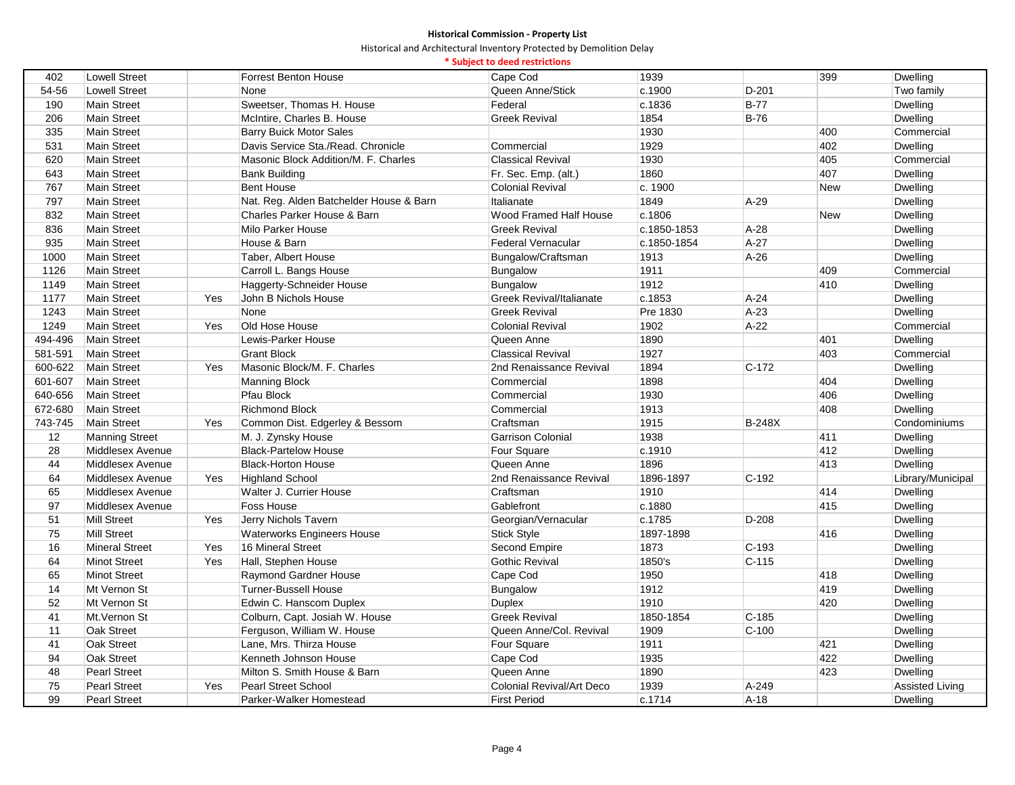|  |  |  |  | * Subject to deed restrictions |
|--|--|--|--|--------------------------------|
|--|--|--|--|--------------------------------|

| 402     | <b>Lowell Street</b>  |     | <b>Forrest Benton House</b>             | Cape Cod                        | 1939        |               | 399        | Dwelling               |
|---------|-----------------------|-----|-----------------------------------------|---------------------------------|-------------|---------------|------------|------------------------|
| 54 56   | <b>Lowell Street</b>  |     | None                                    | Queen Anne/Stick                | c.1900      | $D-201$       |            | Two family             |
| 190     | <b>Main Street</b>    |     | Sweetser, Thomas H. House               | Federal                         | c.1836      | $B-77$        |            | Dwelling               |
| 206     | <b>Main Street</b>    |     | McIntire, Charles B. House              | <b>Greek Revival</b>            | 1854        | $B-76$        |            | Dwelling               |
| 335     | <b>Main Street</b>    |     | <b>Barry Buick Motor Sales</b>          |                                 | 1930        |               | 400        | Commercial             |
| 531     | Main Street           |     | Davis Service Sta./Read. Chronicle      | Commercial                      | 1929        |               | 402        | Dwelling               |
| 620     | <b>Main Street</b>    |     | Masonic Block Addition/M. F. Charles    | <b>Classical Revival</b>        | 1930        |               | 405        | Commercial             |
| 643     | <b>Main Street</b>    |     | <b>Bank Building</b>                    | Fr. Sec. Emp. (alt.)            | 1860        |               | 407        | <b>Dwelling</b>        |
| 767     | <b>Main Street</b>    |     | <b>Bent House</b>                       | <b>Colonial Revival</b>         | c. 1900     |               | <b>New</b> | Dwelling               |
| 797     | Main Street           |     | Nat. Reg. Alden Batchelder House & Barn | Italianate                      | 1849        | $A-29$        |            | Dwelling               |
| 832     | <b>Main Street</b>    |     | Charles Parker House & Barn             | Wood Framed Half House          | c.1806      |               | <b>New</b> | Dwelling               |
| 836     | <b>Main Street</b>    |     | <b>Milo Parker House</b>                | <b>Greek Revival</b>            | c.1850-1853 | $A-28$        |            | Dwelling               |
| 935     | <b>Main Street</b>    |     | House & Barn                            | Federal Vernacular              | c.1850-1854 | A-27          |            | Dwelling               |
| 1000    | Main Street           |     | Taber, Albert House                     | Bungalow/Craftsman              | 1913        | $A-26$        |            | Dwelling               |
| 1126    | <b>Main Street</b>    |     | Carroll L. Bangs House                  | Bungalow                        | 1911        |               | 409        | Commercial             |
| 1149    | <b>Main Street</b>    |     | Haggerty-Schneider House                | Bungalow                        | 1912        |               | 410        | Dwelling               |
| 1177    | <b>Main Street</b>    | Yes | John B Nichols House                    | <b>Greek Revival/Italianate</b> | c.1853      | $A-24$        |            | Dwelling               |
| 1243    | <b>Main Street</b>    |     | None                                    | <b>Greek Revival</b>            | Pre 1830    | $A-23$        |            | Dwelling               |
| 1249    | <b>Main Street</b>    | Yes | Old Hose House                          | <b>Colonial Revival</b>         | 1902        | $A-22$        |            | Commercial             |
| 494-496 | <b>Main Street</b>    |     | Lewis-Parker House                      | Queen Anne                      | 1890        |               | 401        | Dwelling               |
| 581-591 | <b>Main Street</b>    |     | <b>Grant Block</b>                      | <b>Classical Revival</b>        | 1927        |               | 403        | Commercial             |
| 600-622 | <b>Main Street</b>    | Yes | Masonic Block/M. F. Charles             | 2nd Renaissance Revival         | 1894        | $C-172$       |            | Dwelling               |
| 601-607 | <b>Main Street</b>    |     | <b>Manning Block</b>                    | Commercial                      | 1898        |               | 404        | Dwelling               |
| 640-656 | Main Street           |     | Pfau Block                              | Commercial                      | 1930        |               | 406        | Dwelling               |
| 672-680 | Main Street           |     | <b>Richmond Block</b>                   | Commercial                      | 1913        |               | 408        | Dwelling               |
| 743-745 | <b>Main Street</b>    | Yes | Common Dist. Edgerley & Bessom          | Craftsman                       | 1915        | <b>B-248X</b> |            | Condominiums           |
| 12      | <b>Manning Street</b> |     | M. J. Zynsky House                      | Garrison Colonial               | 1938        |               | 411        | Dwelling               |
| 28      | Middlesex Avenue      |     | <b>Black-Partelow House</b>             | Four Square                     | c.1910      |               | 412        | Dwelling               |
| 44      | Middlesex Avenue      |     | <b>Black-Horton House</b>               | Queen Anne                      | 1896        |               | 413        | Dwelling               |
| 64      | Middlesex Avenue      | Yes | <b>Highland School</b>                  | 2nd Renaissance Revival         | 1896-1897   | $C-192$       |            | Library/Municipal      |
| 65      | Middlesex Avenue      |     | Walter J. Currier House                 | Craftsman                       | 1910        |               | 414        | Dwelling               |
| 97      | Middlesex Avenue      |     | <b>Foss House</b>                       | Gablefront                      | c.1880      |               | 415        | Dwelling               |
| 51      | <b>Mill Street</b>    | Yes | Jerry Nichols Tavern                    | Georgian/Vernacular             | c.1785      | $D-208$       |            | Dwelling               |
| 75      | <b>Mill Street</b>    |     | <b>Waterworks Engineers House</b>       | <b>Stick Style</b>              | 1897-1898   |               | 416        | Dwelling               |
| 16      | <b>Mineral Street</b> | Yes | 16 Mineral Street                       | Second Empire                   | 1873        | $C-193$       |            | Dwelling               |
| 64      | <b>Minot Street</b>   | Yes | Hall, Stephen House                     | <b>Gothic Revival</b>           | 1850's      | $C-115$       |            | Dwelling               |
| 65      | <b>Minot Street</b>   |     | Raymond Gardner House                   | Cape Cod                        | 1950        |               | 418        | Dwelling               |
| 14      | Mt Vernon St          |     | <b>Turner-Bussell House</b>             | Bungalow                        | 1912        |               | 419        | Dwelling               |
| 52      | Mt Vernon St          |     | Edwin C. Hanscom Duplex                 | <b>Duplex</b>                   | 1910        |               | 420        | Dwelling               |
| 41      | Mt.Vernon St          |     | Colburn, Capt. Josiah W. House          | <b>Greek Revival</b>            | 1850-1854   | $C-185$       |            | Dwelling               |
| 11      | Oak Street            |     | Ferguson, William W. House              | Queen Anne/Col. Revival         | 1909        | $C-100$       |            | Dwelling               |
| 41      | Oak Street            |     | Lane, Mrs. Thirza House                 | Four Square                     | 1911        |               | 421        | Dwelling               |
| 94      | Oak Street            |     | Kenneth Johnson House                   | Cape Cod                        | 1935        |               | 422        | Dwelling               |
| 48      | <b>Pearl Street</b>   |     | Milton S. Smith House & Barn            | Queen Anne                      | 1890        |               | 423        | Dwelling               |
| 75      | <b>Pearl Street</b>   | Yes | <b>Pearl Street School</b>              | Colonial Revival/Art Deco       | 1939        | A-249         |            | <b>Assisted Living</b> |
| 99      | <b>Pearl Street</b>   |     | Parker-Walker Homestead                 | <b>First Period</b>             | c.1714      | $A-18$        |            | <b>Dwelling</b>        |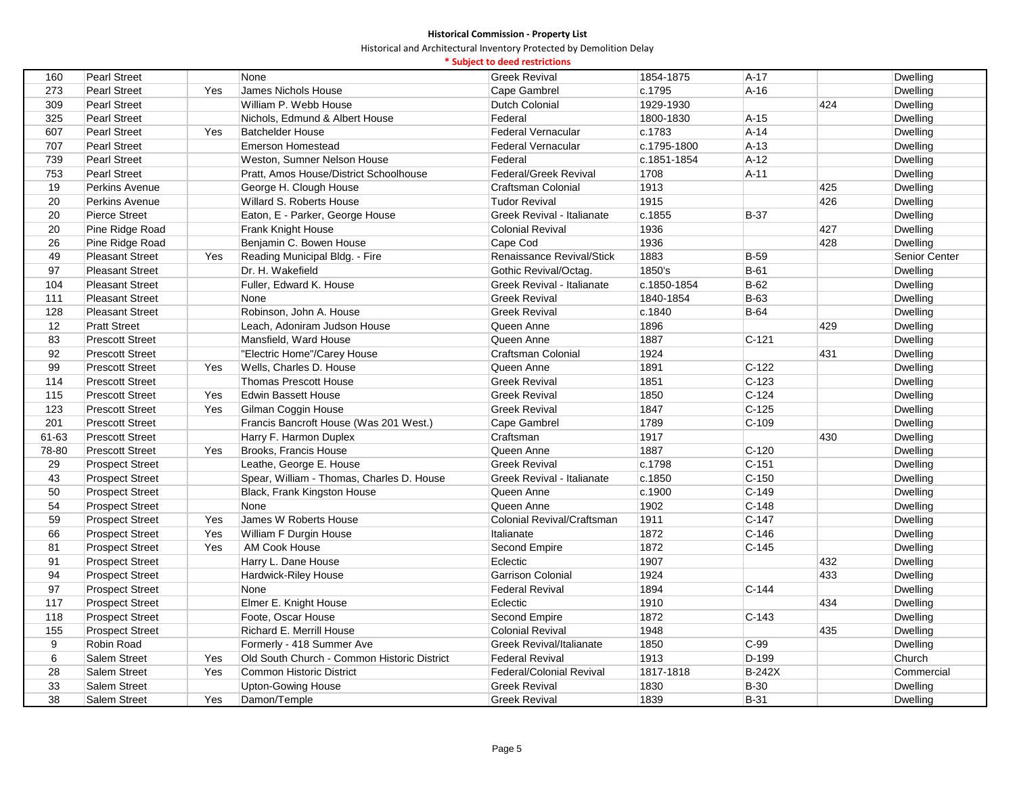|       |                        |     |                                             | * Subject to deed restrictions    |             |               |     |                 |
|-------|------------------------|-----|---------------------------------------------|-----------------------------------|-------------|---------------|-----|-----------------|
| 160   | <b>Pearl Street</b>    |     | None                                        | <b>Greek Revival</b>              | 1854-1875   | $A-17$        |     | Dwelling        |
| 273   | <b>Pearl Street</b>    | Yes | James Nichols House                         | Cape Gambrel                      | c.1795      | $A-16$        |     | Dwelling        |
| 309   | <b>Pearl Street</b>    |     | William P. Webb House                       | <b>Dutch Colonial</b>             | 1929-1930   |               | 424 | Dwelling        |
| 325   | <b>Pearl Street</b>    |     | Nichols, Edmund & Albert House              | Federal                           | 1800-1830   | $A-15$        |     | Dwelling        |
| 607   | <b>Pearl Street</b>    | Yes | <b>Batchelder House</b>                     | <b>Federal Vernacular</b>         | c.1783      | $A-14$        |     | Dwelling        |
| 707   | <b>Pearl Street</b>    |     | <b>Emerson Homestead</b>                    | <b>Federal Vernacular</b>         | c.1795-1800 | $A-13$        |     | <b>Dwelling</b> |
| 739   | <b>Pearl Street</b>    |     | Weston, Sumner Nelson House                 | Federal                           | c.1851-1854 | $A-12$        |     | Dwelling        |
| 753   | <b>Pearl Street</b>    |     | Pratt, Amos House/District Schoolhouse      | Federal/Greek Revival             | 1708        | $A-11$        |     | Dwelling        |
| 19    | Perkins Avenue         |     | George H. Clough House                      | <b>Craftsman Colonial</b>         | 1913        |               | 425 | Dwelling        |
| 20    | Perkins Avenue         |     | Willard S. Roberts House                    | <b>Tudor Revival</b>              | 1915        |               | 426 | Dwelling        |
| 20    | <b>Pierce Street</b>   |     | Eaton, E - Parker, George House             | Greek Revival - Italianate        | c.1855      | <b>B-37</b>   |     | Dwelling        |
| 20    | Pine Ridge Road        |     | Frank Knight House                          | <b>Colonial Revival</b>           | 1936        |               | 427 | Dwelling        |
| 26    | Pine Ridge Road        |     | Benjamin C. Bowen House                     | Cape Cod                          | 1936        |               | 428 | Dwelling        |
| 49    | <b>Pleasant Street</b> | Yes | Reading Municipal Bldg. - Fire              | Renaissance Revival/Stick         | 1883        | <b>B-59</b>   |     | Senior Center   |
| 97    | <b>Pleasant Street</b> |     | Dr. H. Wakefield                            | Gothic Revival/Octag.             | 1850's      | $B-61$        |     | Dwelling        |
| 104   | <b>Pleasant Street</b> |     | Fuller, Edward K. House                     | Greek Revival - Italianate        | c.1850-1854 | $B-62$        |     | Dwelling        |
| 111   | <b>Pleasant Street</b> |     | None                                        | <b>Greek Revival</b>              | 1840-1854   | B-63          |     | Dwelling        |
| 128   | <b>Pleasant Street</b> |     | Robinson, John A. House                     | <b>Greek Revival</b>              | c.1840      | $B-64$        |     | Dwelling        |
| 12    | <b>Pratt Street</b>    |     | Leach, Adoniram Judson House                | Queen Anne                        | 1896        |               | 429 | Dwelling        |
| 83    | <b>Prescott Street</b> |     | Mansfield, Ward House                       | Queen Anne                        | 1887        | $C-121$       |     | Dwelling        |
| 92    | <b>Prescott Street</b> |     | "Electric Home"/Carey House                 | <b>Craftsman Colonial</b>         | 1924        |               | 431 | Dwelling        |
| 99    | <b>Prescott Street</b> | Yes | Wells, Charles D. House                     | Queen Anne                        | 1891        | $C-122$       |     | Dwelling        |
| 114   | <b>Prescott Street</b> |     | <b>Thomas Prescott House</b>                | <b>Greek Revival</b>              | 1851        | $C-123$       |     | Dwelling        |
| 115   | <b>Prescott Street</b> | Yes | Edwin Bassett House                         | <b>Greek Revival</b>              | 1850        | $C-124$       |     | Dwelling        |
| 123   | <b>Prescott Street</b> | Yes | Gilman Coggin House                         | <b>Greek Revival</b>              | 1847        | $C-125$       |     | Dwelling        |
| 201   | <b>Prescott Street</b> |     | Francis Bancroft House (Was 201 West.)      | Cape Gambrel                      | 1789        | $C-109$       |     | Dwelling        |
| 61-63 | <b>Prescott Street</b> |     | Harry F. Harmon Duplex                      | Craftsman                         | 1917        |               | 430 | Dwelling        |
| 78-80 | <b>Prescott Street</b> | Yes | Brooks, Francis House                       | Queen Anne                        | 1887        | $C-120$       |     | Dwelling        |
| 29    | <b>Prospect Street</b> |     | Leathe, George E. House                     | <b>Greek Revival</b>              | c.1798      | $C-151$       |     | Dwelling        |
| 43    | <b>Prospect Street</b> |     | Spear, William - Thomas, Charles D. House   | Greek Revival - Italianate        | c.1850      | $C-150$       |     | Dwelling        |
| 50    | <b>Prospect Street</b> |     | Black, Frank Kingston House                 | Queen Anne                        | c.1900      | $C-149$       |     | Dwelling        |
| 54    | <b>Prospect Street</b> |     | None                                        | Queen Anne                        | 1902        | $C-148$       |     | Dwelling        |
| 59    | <b>Prospect Street</b> | Yes | James W Roberts House                       | <b>Colonial Revival/Craftsman</b> | 1911        | $C-147$       |     | Dwelling        |
| 66    | <b>Prospect Street</b> | Yes | William F Durgin House                      | Italianate                        | 1872        | $C-146$       |     | Dwelling        |
| 81    | <b>Prospect Street</b> | Yes | AM Cook House                               | Second Empire                     | 1872        | $C-145$       |     | Dwelling        |
| 91    | <b>Prospect Street</b> |     | Harry L. Dane House                         | Eclectic                          | 1907        |               | 432 | Dwelling        |
| 94    | <b>Prospect Street</b> |     | Hardwick-Riley House                        | <b>Garrison Colonial</b>          | 1924        |               | 433 | Dwelling        |
| 97    | <b>Prospect Street</b> |     | None                                        | <b>Federal Revival</b>            | 1894        | $C - 144$     |     | <b>Dwelling</b> |
| 117   | <b>Prospect Street</b> |     | Elmer E. Knight House                       | Eclectic                          | 1910        |               | 434 | Dwelling        |
| 118   | <b>Prospect Street</b> |     | Foote, Oscar House                          | Second Empire                     | 1872        | $C-143$       |     | Dwelling        |
| 155   | <b>Prospect Street</b> |     | Richard E. Merrill House                    | <b>Colonial Revival</b>           | 1948        |               | 435 | Dwelling        |
| 9     | Robin Road             |     | Formerly - 418 Summer Ave                   | <b>Greek Revival/Italianate</b>   | 1850        | $C-99$        |     | Dwelling        |
| 6     | <b>Salem Street</b>    | Yes | Old South Church - Common Historic District | <b>Federal Revival</b>            | 1913        | D-199         |     | Church          |
| 28    | <b>Salem Street</b>    | Yes | <b>Common Historic District</b>             | Federal/Colonial Revival          | 1817-1818   | <b>B-242X</b> |     | Commercial      |
| 33    | <b>Salem Street</b>    |     | <b>Upton-Gowing House</b>                   | <b>Greek Revival</b>              | 1830        | <b>B-30</b>   |     | <b>Dwelling</b> |
| 38    | Salem Street           | Yes | Damon/Temple                                | <b>Greek Revival</b>              | 1839        | $B-31$        |     | Dwelling        |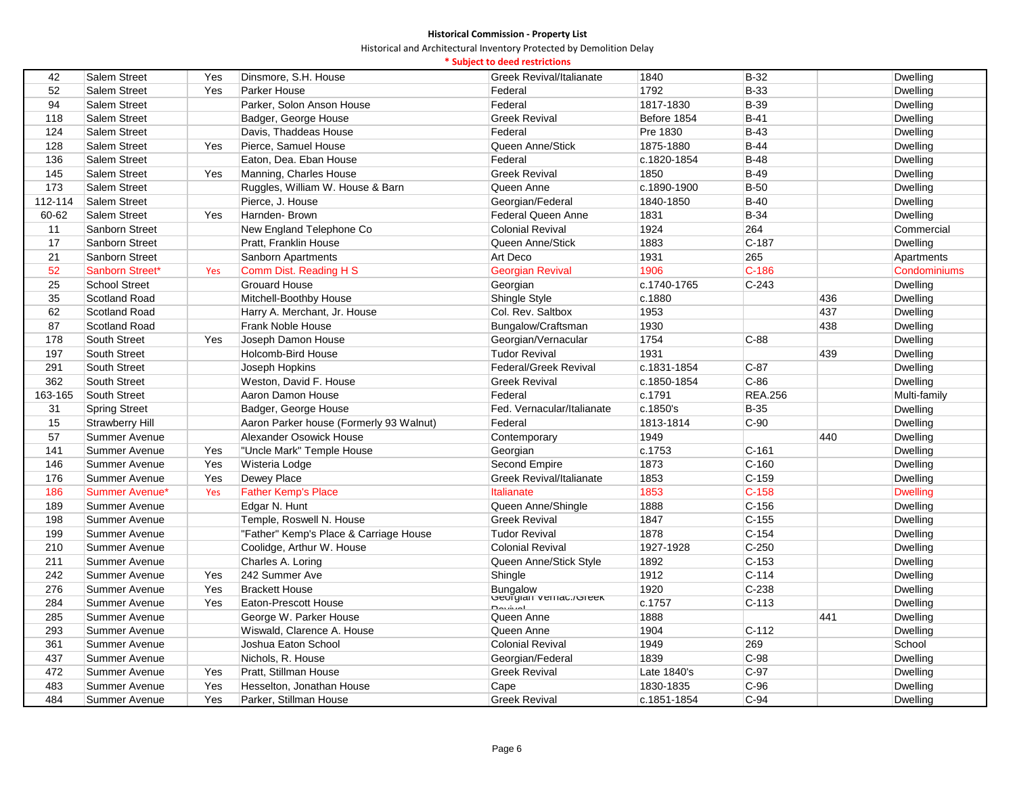Historical and Architectural Inventory Protected by Demolition Delay

# **\* Subject to deed restrictions**

| $B-32$<br>42<br><b>Salem Street</b><br>Yes<br>Dinsmore, S.H. House<br><b>Greek Revival/Italianate</b><br>1840<br>Dwelling<br>1792<br><b>B-33</b><br>52<br><b>Salem Street</b><br>Yes<br>Parker House<br>Federal<br>Dwelling<br>Federal<br><b>B-39</b><br>94<br><b>Salem Street</b><br>Parker, Solon Anson House<br>1817-1830<br>Dwelling<br><b>Greek Revival</b><br>118<br><b>Salem Street</b><br>Badger, George House<br>Before 1854<br>$B-41$<br>Dwelling<br>Federal<br>$B-43$<br>124<br><b>Salem Street</b><br>Davis, Thaddeas House<br>Pre 1830<br>Dwelling<br>Pierce, Samuel House<br>1875-1880<br>$B-44$<br>128<br>Salem Street<br>Yes<br>Queen Anne/Stick<br>Dwelling<br>136<br>Federal<br>$B-48$<br>Dwelling<br>Salem Street<br>Eaton, Dea. Eban House<br>c.1820-1854<br>145<br><b>Greek Revival</b><br>$B-49$<br>Salem Street<br>Yes<br>Manning, Charles House<br>1850<br>Dwelling<br>173<br>Queen Anne<br>$B-50$<br>Salem Street<br>Ruggles, William W. House & Barn<br>c.1890-1900<br>Dwelling<br>112-114<br>$B-40$<br>Salem Street<br>Pierce, J. House<br>Georgian/Federal<br>1840-1850<br>Dwelling<br>Yes<br>Harnden-Brown<br><b>B-34</b><br>60-62<br>Salem Street<br>Federal Queen Anne<br>1831<br>Dwelling<br>Sanborn Street<br><b>Colonial Revival</b><br>1924<br>264<br>11<br>New England Telephone Co<br>Commercial<br>17<br>Sanborn Street<br>1883<br>$C-187$<br>Pratt, Franklin House<br>Queen Anne/Stick<br>Dwelling<br>21<br>1931<br>265<br>Sanborn Street<br>Sanborn Apartments<br>Art Deco<br>Apartments<br>$C-186$<br>52<br>1906<br>Sanborn Street*<br>Comm Dist. Reading H S<br><b>Georgian Revival</b><br>Condominiums<br>Yes<br>25<br>$C-243$<br><b>School Street</b><br><b>Grouard House</b><br>Georgian<br>c.1740-1765<br>Dwelling<br>35<br>Scotland Road<br>Mitchell-Boothby House<br>Shingle Style<br>436<br>c.1880<br>Dwelling<br>437<br>62<br>Scotland Road<br>Harry A. Merchant, Jr. House<br>Col. Rev. Saltbox<br>1953<br>Dwelling<br>87<br>Scotland Road<br>Frank Noble House<br>Bungalow/Craftsman<br>1930<br>438<br>Dwelling<br>178<br>South Street<br>Yes<br>Joseph Damon House<br>Georgian/Vernacular<br>1754<br>$C-88$<br>Dwelling<br>197<br>South Street<br>Holcomb-Bird House<br><b>Tudor Revival</b><br>1931<br>439<br>Dwelling<br>291<br>South Street<br>Joseph Hopkins<br>Federal/Greek Revival<br>c.1831-1854<br>$C-87$<br>Dwelling<br>362<br>$C-86$<br>South Street<br>Weston, David F. House<br><b>Greek Revival</b><br>c.1850-1854<br>Dwelling<br><b>REA.256</b><br>163-165<br>South Street<br>Aaron Damon House<br>Federal<br>c.1791<br>Multi-family<br><b>Spring Street</b><br>Badger, George House<br>Fed. Vernacular/Italianate<br>c.1850's<br><b>B-35</b><br>Dwelling<br>31<br>Federal<br>$C-90$<br>15<br>Strawberry Hill<br>Aaron Parker house (Formerly 93 Walnut)<br>1813-1814<br>Dwelling<br>57<br>Alexander Osowick House<br>Contemporary<br>1949<br>440<br>Dwelling<br>Summer Avenue<br>141<br>$C-161$<br><b>Summer Avenue</b><br>"Uncle Mark" Temple House<br>Georgian<br>c.1753<br>Dwelling<br>Yes<br>1873<br>$C-160$<br>146<br>Yes<br>Second Empire<br>Dwelling<br>Summer Avenue<br>Wisteria Lodge<br>$C-159$<br>176<br>Summer Avenue<br>Yes<br>Dewey Place<br>Greek Revival/Italianate<br>1853<br>Dwelling |
|------------------------------------------------------------------------------------------------------------------------------------------------------------------------------------------------------------------------------------------------------------------------------------------------------------------------------------------------------------------------------------------------------------------------------------------------------------------------------------------------------------------------------------------------------------------------------------------------------------------------------------------------------------------------------------------------------------------------------------------------------------------------------------------------------------------------------------------------------------------------------------------------------------------------------------------------------------------------------------------------------------------------------------------------------------------------------------------------------------------------------------------------------------------------------------------------------------------------------------------------------------------------------------------------------------------------------------------------------------------------------------------------------------------------------------------------------------------------------------------------------------------------------------------------------------------------------------------------------------------------------------------------------------------------------------------------------------------------------------------------------------------------------------------------------------------------------------------------------------------------------------------------------------------------------------------------------------------------------------------------------------------------------------------------------------------------------------------------------------------------------------------------------------------------------------------------------------------------------------------------------------------------------------------------------------------------------------------------------------------------------------------------------------------------------------------------------------------------------------------------------------------------------------------------------------------------------------------------------------------------------------------------------------------------------------------------------------------------------------------------------------------------------------------------------------------------------------------------------------------------------------------------------------------------------------------------------------------------------------------------------------------------------------------------------------------------------------------------------------------------------------------------------------------------------------------------------------------------------------------------------------------------------|
|                                                                                                                                                                                                                                                                                                                                                                                                                                                                                                                                                                                                                                                                                                                                                                                                                                                                                                                                                                                                                                                                                                                                                                                                                                                                                                                                                                                                                                                                                                                                                                                                                                                                                                                                                                                                                                                                                                                                                                                                                                                                                                                                                                                                                                                                                                                                                                                                                                                                                                                                                                                                                                                                                                                                                                                                                                                                                                                                                                                                                                                                                                                                                                                                                                                                              |
|                                                                                                                                                                                                                                                                                                                                                                                                                                                                                                                                                                                                                                                                                                                                                                                                                                                                                                                                                                                                                                                                                                                                                                                                                                                                                                                                                                                                                                                                                                                                                                                                                                                                                                                                                                                                                                                                                                                                                                                                                                                                                                                                                                                                                                                                                                                                                                                                                                                                                                                                                                                                                                                                                                                                                                                                                                                                                                                                                                                                                                                                                                                                                                                                                                                                              |
|                                                                                                                                                                                                                                                                                                                                                                                                                                                                                                                                                                                                                                                                                                                                                                                                                                                                                                                                                                                                                                                                                                                                                                                                                                                                                                                                                                                                                                                                                                                                                                                                                                                                                                                                                                                                                                                                                                                                                                                                                                                                                                                                                                                                                                                                                                                                                                                                                                                                                                                                                                                                                                                                                                                                                                                                                                                                                                                                                                                                                                                                                                                                                                                                                                                                              |
|                                                                                                                                                                                                                                                                                                                                                                                                                                                                                                                                                                                                                                                                                                                                                                                                                                                                                                                                                                                                                                                                                                                                                                                                                                                                                                                                                                                                                                                                                                                                                                                                                                                                                                                                                                                                                                                                                                                                                                                                                                                                                                                                                                                                                                                                                                                                                                                                                                                                                                                                                                                                                                                                                                                                                                                                                                                                                                                                                                                                                                                                                                                                                                                                                                                                              |
|                                                                                                                                                                                                                                                                                                                                                                                                                                                                                                                                                                                                                                                                                                                                                                                                                                                                                                                                                                                                                                                                                                                                                                                                                                                                                                                                                                                                                                                                                                                                                                                                                                                                                                                                                                                                                                                                                                                                                                                                                                                                                                                                                                                                                                                                                                                                                                                                                                                                                                                                                                                                                                                                                                                                                                                                                                                                                                                                                                                                                                                                                                                                                                                                                                                                              |
|                                                                                                                                                                                                                                                                                                                                                                                                                                                                                                                                                                                                                                                                                                                                                                                                                                                                                                                                                                                                                                                                                                                                                                                                                                                                                                                                                                                                                                                                                                                                                                                                                                                                                                                                                                                                                                                                                                                                                                                                                                                                                                                                                                                                                                                                                                                                                                                                                                                                                                                                                                                                                                                                                                                                                                                                                                                                                                                                                                                                                                                                                                                                                                                                                                                                              |
|                                                                                                                                                                                                                                                                                                                                                                                                                                                                                                                                                                                                                                                                                                                                                                                                                                                                                                                                                                                                                                                                                                                                                                                                                                                                                                                                                                                                                                                                                                                                                                                                                                                                                                                                                                                                                                                                                                                                                                                                                                                                                                                                                                                                                                                                                                                                                                                                                                                                                                                                                                                                                                                                                                                                                                                                                                                                                                                                                                                                                                                                                                                                                                                                                                                                              |
|                                                                                                                                                                                                                                                                                                                                                                                                                                                                                                                                                                                                                                                                                                                                                                                                                                                                                                                                                                                                                                                                                                                                                                                                                                                                                                                                                                                                                                                                                                                                                                                                                                                                                                                                                                                                                                                                                                                                                                                                                                                                                                                                                                                                                                                                                                                                                                                                                                                                                                                                                                                                                                                                                                                                                                                                                                                                                                                                                                                                                                                                                                                                                                                                                                                                              |
|                                                                                                                                                                                                                                                                                                                                                                                                                                                                                                                                                                                                                                                                                                                                                                                                                                                                                                                                                                                                                                                                                                                                                                                                                                                                                                                                                                                                                                                                                                                                                                                                                                                                                                                                                                                                                                                                                                                                                                                                                                                                                                                                                                                                                                                                                                                                                                                                                                                                                                                                                                                                                                                                                                                                                                                                                                                                                                                                                                                                                                                                                                                                                                                                                                                                              |
|                                                                                                                                                                                                                                                                                                                                                                                                                                                                                                                                                                                                                                                                                                                                                                                                                                                                                                                                                                                                                                                                                                                                                                                                                                                                                                                                                                                                                                                                                                                                                                                                                                                                                                                                                                                                                                                                                                                                                                                                                                                                                                                                                                                                                                                                                                                                                                                                                                                                                                                                                                                                                                                                                                                                                                                                                                                                                                                                                                                                                                                                                                                                                                                                                                                                              |
|                                                                                                                                                                                                                                                                                                                                                                                                                                                                                                                                                                                                                                                                                                                                                                                                                                                                                                                                                                                                                                                                                                                                                                                                                                                                                                                                                                                                                                                                                                                                                                                                                                                                                                                                                                                                                                                                                                                                                                                                                                                                                                                                                                                                                                                                                                                                                                                                                                                                                                                                                                                                                                                                                                                                                                                                                                                                                                                                                                                                                                                                                                                                                                                                                                                                              |
|                                                                                                                                                                                                                                                                                                                                                                                                                                                                                                                                                                                                                                                                                                                                                                                                                                                                                                                                                                                                                                                                                                                                                                                                                                                                                                                                                                                                                                                                                                                                                                                                                                                                                                                                                                                                                                                                                                                                                                                                                                                                                                                                                                                                                                                                                                                                                                                                                                                                                                                                                                                                                                                                                                                                                                                                                                                                                                                                                                                                                                                                                                                                                                                                                                                                              |
|                                                                                                                                                                                                                                                                                                                                                                                                                                                                                                                                                                                                                                                                                                                                                                                                                                                                                                                                                                                                                                                                                                                                                                                                                                                                                                                                                                                                                                                                                                                                                                                                                                                                                                                                                                                                                                                                                                                                                                                                                                                                                                                                                                                                                                                                                                                                                                                                                                                                                                                                                                                                                                                                                                                                                                                                                                                                                                                                                                                                                                                                                                                                                                                                                                                                              |
|                                                                                                                                                                                                                                                                                                                                                                                                                                                                                                                                                                                                                                                                                                                                                                                                                                                                                                                                                                                                                                                                                                                                                                                                                                                                                                                                                                                                                                                                                                                                                                                                                                                                                                                                                                                                                                                                                                                                                                                                                                                                                                                                                                                                                                                                                                                                                                                                                                                                                                                                                                                                                                                                                                                                                                                                                                                                                                                                                                                                                                                                                                                                                                                                                                                                              |
|                                                                                                                                                                                                                                                                                                                                                                                                                                                                                                                                                                                                                                                                                                                                                                                                                                                                                                                                                                                                                                                                                                                                                                                                                                                                                                                                                                                                                                                                                                                                                                                                                                                                                                                                                                                                                                                                                                                                                                                                                                                                                                                                                                                                                                                                                                                                                                                                                                                                                                                                                                                                                                                                                                                                                                                                                                                                                                                                                                                                                                                                                                                                                                                                                                                                              |
|                                                                                                                                                                                                                                                                                                                                                                                                                                                                                                                                                                                                                                                                                                                                                                                                                                                                                                                                                                                                                                                                                                                                                                                                                                                                                                                                                                                                                                                                                                                                                                                                                                                                                                                                                                                                                                                                                                                                                                                                                                                                                                                                                                                                                                                                                                                                                                                                                                                                                                                                                                                                                                                                                                                                                                                                                                                                                                                                                                                                                                                                                                                                                                                                                                                                              |
|                                                                                                                                                                                                                                                                                                                                                                                                                                                                                                                                                                                                                                                                                                                                                                                                                                                                                                                                                                                                                                                                                                                                                                                                                                                                                                                                                                                                                                                                                                                                                                                                                                                                                                                                                                                                                                                                                                                                                                                                                                                                                                                                                                                                                                                                                                                                                                                                                                                                                                                                                                                                                                                                                                                                                                                                                                                                                                                                                                                                                                                                                                                                                                                                                                                                              |
|                                                                                                                                                                                                                                                                                                                                                                                                                                                                                                                                                                                                                                                                                                                                                                                                                                                                                                                                                                                                                                                                                                                                                                                                                                                                                                                                                                                                                                                                                                                                                                                                                                                                                                                                                                                                                                                                                                                                                                                                                                                                                                                                                                                                                                                                                                                                                                                                                                                                                                                                                                                                                                                                                                                                                                                                                                                                                                                                                                                                                                                                                                                                                                                                                                                                              |
|                                                                                                                                                                                                                                                                                                                                                                                                                                                                                                                                                                                                                                                                                                                                                                                                                                                                                                                                                                                                                                                                                                                                                                                                                                                                                                                                                                                                                                                                                                                                                                                                                                                                                                                                                                                                                                                                                                                                                                                                                                                                                                                                                                                                                                                                                                                                                                                                                                                                                                                                                                                                                                                                                                                                                                                                                                                                                                                                                                                                                                                                                                                                                                                                                                                                              |
|                                                                                                                                                                                                                                                                                                                                                                                                                                                                                                                                                                                                                                                                                                                                                                                                                                                                                                                                                                                                                                                                                                                                                                                                                                                                                                                                                                                                                                                                                                                                                                                                                                                                                                                                                                                                                                                                                                                                                                                                                                                                                                                                                                                                                                                                                                                                                                                                                                                                                                                                                                                                                                                                                                                                                                                                                                                                                                                                                                                                                                                                                                                                                                                                                                                                              |
|                                                                                                                                                                                                                                                                                                                                                                                                                                                                                                                                                                                                                                                                                                                                                                                                                                                                                                                                                                                                                                                                                                                                                                                                                                                                                                                                                                                                                                                                                                                                                                                                                                                                                                                                                                                                                                                                                                                                                                                                                                                                                                                                                                                                                                                                                                                                                                                                                                                                                                                                                                                                                                                                                                                                                                                                                                                                                                                                                                                                                                                                                                                                                                                                                                                                              |
|                                                                                                                                                                                                                                                                                                                                                                                                                                                                                                                                                                                                                                                                                                                                                                                                                                                                                                                                                                                                                                                                                                                                                                                                                                                                                                                                                                                                                                                                                                                                                                                                                                                                                                                                                                                                                                                                                                                                                                                                                                                                                                                                                                                                                                                                                                                                                                                                                                                                                                                                                                                                                                                                                                                                                                                                                                                                                                                                                                                                                                                                                                                                                                                                                                                                              |
|                                                                                                                                                                                                                                                                                                                                                                                                                                                                                                                                                                                                                                                                                                                                                                                                                                                                                                                                                                                                                                                                                                                                                                                                                                                                                                                                                                                                                                                                                                                                                                                                                                                                                                                                                                                                                                                                                                                                                                                                                                                                                                                                                                                                                                                                                                                                                                                                                                                                                                                                                                                                                                                                                                                                                                                                                                                                                                                                                                                                                                                                                                                                                                                                                                                                              |
|                                                                                                                                                                                                                                                                                                                                                                                                                                                                                                                                                                                                                                                                                                                                                                                                                                                                                                                                                                                                                                                                                                                                                                                                                                                                                                                                                                                                                                                                                                                                                                                                                                                                                                                                                                                                                                                                                                                                                                                                                                                                                                                                                                                                                                                                                                                                                                                                                                                                                                                                                                                                                                                                                                                                                                                                                                                                                                                                                                                                                                                                                                                                                                                                                                                                              |
|                                                                                                                                                                                                                                                                                                                                                                                                                                                                                                                                                                                                                                                                                                                                                                                                                                                                                                                                                                                                                                                                                                                                                                                                                                                                                                                                                                                                                                                                                                                                                                                                                                                                                                                                                                                                                                                                                                                                                                                                                                                                                                                                                                                                                                                                                                                                                                                                                                                                                                                                                                                                                                                                                                                                                                                                                                                                                                                                                                                                                                                                                                                                                                                                                                                                              |
|                                                                                                                                                                                                                                                                                                                                                                                                                                                                                                                                                                                                                                                                                                                                                                                                                                                                                                                                                                                                                                                                                                                                                                                                                                                                                                                                                                                                                                                                                                                                                                                                                                                                                                                                                                                                                                                                                                                                                                                                                                                                                                                                                                                                                                                                                                                                                                                                                                                                                                                                                                                                                                                                                                                                                                                                                                                                                                                                                                                                                                                                                                                                                                                                                                                                              |
|                                                                                                                                                                                                                                                                                                                                                                                                                                                                                                                                                                                                                                                                                                                                                                                                                                                                                                                                                                                                                                                                                                                                                                                                                                                                                                                                                                                                                                                                                                                                                                                                                                                                                                                                                                                                                                                                                                                                                                                                                                                                                                                                                                                                                                                                                                                                                                                                                                                                                                                                                                                                                                                                                                                                                                                                                                                                                                                                                                                                                                                                                                                                                                                                                                                                              |
|                                                                                                                                                                                                                                                                                                                                                                                                                                                                                                                                                                                                                                                                                                                                                                                                                                                                                                                                                                                                                                                                                                                                                                                                                                                                                                                                                                                                                                                                                                                                                                                                                                                                                                                                                                                                                                                                                                                                                                                                                                                                                                                                                                                                                                                                                                                                                                                                                                                                                                                                                                                                                                                                                                                                                                                                                                                                                                                                                                                                                                                                                                                                                                                                                                                                              |
|                                                                                                                                                                                                                                                                                                                                                                                                                                                                                                                                                                                                                                                                                                                                                                                                                                                                                                                                                                                                                                                                                                                                                                                                                                                                                                                                                                                                                                                                                                                                                                                                                                                                                                                                                                                                                                                                                                                                                                                                                                                                                                                                                                                                                                                                                                                                                                                                                                                                                                                                                                                                                                                                                                                                                                                                                                                                                                                                                                                                                                                                                                                                                                                                                                                                              |
|                                                                                                                                                                                                                                                                                                                                                                                                                                                                                                                                                                                                                                                                                                                                                                                                                                                                                                                                                                                                                                                                                                                                                                                                                                                                                                                                                                                                                                                                                                                                                                                                                                                                                                                                                                                                                                                                                                                                                                                                                                                                                                                                                                                                                                                                                                                                                                                                                                                                                                                                                                                                                                                                                                                                                                                                                                                                                                                                                                                                                                                                                                                                                                                                                                                                              |
| 186<br>1853<br>$C-158$<br><b>Summer Avenue*</b><br>Yes<br><b>Father Kemp's Place</b><br>Italianate<br><b>Dwelling</b>                                                                                                                                                                                                                                                                                                                                                                                                                                                                                                                                                                                                                                                                                                                                                                                                                                                                                                                                                                                                                                                                                                                                                                                                                                                                                                                                                                                                                                                                                                                                                                                                                                                                                                                                                                                                                                                                                                                                                                                                                                                                                                                                                                                                                                                                                                                                                                                                                                                                                                                                                                                                                                                                                                                                                                                                                                                                                                                                                                                                                                                                                                                                                        |
| 189<br>Queen Anne/Shingle<br>1888<br>$C-156$<br>Summer Avenue<br>Edgar N. Hunt<br>Dwelling                                                                                                                                                                                                                                                                                                                                                                                                                                                                                                                                                                                                                                                                                                                                                                                                                                                                                                                                                                                                                                                                                                                                                                                                                                                                                                                                                                                                                                                                                                                                                                                                                                                                                                                                                                                                                                                                                                                                                                                                                                                                                                                                                                                                                                                                                                                                                                                                                                                                                                                                                                                                                                                                                                                                                                                                                                                                                                                                                                                                                                                                                                                                                                                   |
| 198<br>1847<br>$C-155$<br>Temple, Roswell N. House<br><b>Greek Revival</b><br><b>Dwelling</b><br>Summer Avenue                                                                                                                                                                                                                                                                                                                                                                                                                                                                                                                                                                                                                                                                                                                                                                                                                                                                                                                                                                                                                                                                                                                                                                                                                                                                                                                                                                                                                                                                                                                                                                                                                                                                                                                                                                                                                                                                                                                                                                                                                                                                                                                                                                                                                                                                                                                                                                                                                                                                                                                                                                                                                                                                                                                                                                                                                                                                                                                                                                                                                                                                                                                                                               |
| 199<br>1878<br>$C-154$<br>Summer Avenue<br>"Father" Kemp's Place & Carriage House<br><b>Tudor Revival</b><br>Dwelling                                                                                                                                                                                                                                                                                                                                                                                                                                                                                                                                                                                                                                                                                                                                                                                                                                                                                                                                                                                                                                                                                                                                                                                                                                                                                                                                                                                                                                                                                                                                                                                                                                                                                                                                                                                                                                                                                                                                                                                                                                                                                                                                                                                                                                                                                                                                                                                                                                                                                                                                                                                                                                                                                                                                                                                                                                                                                                                                                                                                                                                                                                                                                        |
| 210<br>1927-1928<br>$C-250$<br>Summer Avenue<br>Coolidge, Arthur W. House<br><b>Colonial Revival</b><br>Dwelling                                                                                                                                                                                                                                                                                                                                                                                                                                                                                                                                                                                                                                                                                                                                                                                                                                                                                                                                                                                                                                                                                                                                                                                                                                                                                                                                                                                                                                                                                                                                                                                                                                                                                                                                                                                                                                                                                                                                                                                                                                                                                                                                                                                                                                                                                                                                                                                                                                                                                                                                                                                                                                                                                                                                                                                                                                                                                                                                                                                                                                                                                                                                                             |
| 211<br>1892<br>$C-153$<br>Summer Avenue<br>Charles A. Loring<br>Queen Anne/Stick Style<br>Dwelling                                                                                                                                                                                                                                                                                                                                                                                                                                                                                                                                                                                                                                                                                                                                                                                                                                                                                                                                                                                                                                                                                                                                                                                                                                                                                                                                                                                                                                                                                                                                                                                                                                                                                                                                                                                                                                                                                                                                                                                                                                                                                                                                                                                                                                                                                                                                                                                                                                                                                                                                                                                                                                                                                                                                                                                                                                                                                                                                                                                                                                                                                                                                                                           |
| 242<br>242 Summer Ave<br>1912<br>$C-114$<br>Summer Avenue<br>Yes<br>Shingle<br>Dwelling                                                                                                                                                                                                                                                                                                                                                                                                                                                                                                                                                                                                                                                                                                                                                                                                                                                                                                                                                                                                                                                                                                                                                                                                                                                                                                                                                                                                                                                                                                                                                                                                                                                                                                                                                                                                                                                                                                                                                                                                                                                                                                                                                                                                                                                                                                                                                                                                                                                                                                                                                                                                                                                                                                                                                                                                                                                                                                                                                                                                                                                                                                                                                                                      |
| Yes<br>$C-238$<br>276<br><b>Brackett House</b><br>Bungalow<br>שפוט, שפונושט,<br>1920<br>Summer Avenue<br>Dwelling                                                                                                                                                                                                                                                                                                                                                                                                                                                                                                                                                                                                                                                                                                                                                                                                                                                                                                                                                                                                                                                                                                                                                                                                                                                                                                                                                                                                                                                                                                                                                                                                                                                                                                                                                                                                                                                                                                                                                                                                                                                                                                                                                                                                                                                                                                                                                                                                                                                                                                                                                                                                                                                                                                                                                                                                                                                                                                                                                                                                                                                                                                                                                            |
| 284<br>Yes<br>$C-113$<br>Summer Avenue<br>Eaton-Prescott House<br>c.1757<br>Dwelling<br>امیشیم0                                                                                                                                                                                                                                                                                                                                                                                                                                                                                                                                                                                                                                                                                                                                                                                                                                                                                                                                                                                                                                                                                                                                                                                                                                                                                                                                                                                                                                                                                                                                                                                                                                                                                                                                                                                                                                                                                                                                                                                                                                                                                                                                                                                                                                                                                                                                                                                                                                                                                                                                                                                                                                                                                                                                                                                                                                                                                                                                                                                                                                                                                                                                                                              |
| 285<br>George W. Parker House<br>Queen Anne<br>1888<br>Summer Avenue<br>441<br>Dwelling                                                                                                                                                                                                                                                                                                                                                                                                                                                                                                                                                                                                                                                                                                                                                                                                                                                                                                                                                                                                                                                                                                                                                                                                                                                                                                                                                                                                                                                                                                                                                                                                                                                                                                                                                                                                                                                                                                                                                                                                                                                                                                                                                                                                                                                                                                                                                                                                                                                                                                                                                                                                                                                                                                                                                                                                                                                                                                                                                                                                                                                                                                                                                                                      |
| $C-112$<br>293<br>Wiswald, Clarence A. House<br>Queen Anne<br>1904<br>Summer Avenue<br>Dwelling                                                                                                                                                                                                                                                                                                                                                                                                                                                                                                                                                                                                                                                                                                                                                                                                                                                                                                                                                                                                                                                                                                                                                                                                                                                                                                                                                                                                                                                                                                                                                                                                                                                                                                                                                                                                                                                                                                                                                                                                                                                                                                                                                                                                                                                                                                                                                                                                                                                                                                                                                                                                                                                                                                                                                                                                                                                                                                                                                                                                                                                                                                                                                                              |
| 361<br>Joshua Eaton School<br><b>Colonial Revival</b><br>1949<br>269<br>School<br>Summer Avenue                                                                                                                                                                                                                                                                                                                                                                                                                                                                                                                                                                                                                                                                                                                                                                                                                                                                                                                                                                                                                                                                                                                                                                                                                                                                                                                                                                                                                                                                                                                                                                                                                                                                                                                                                                                                                                                                                                                                                                                                                                                                                                                                                                                                                                                                                                                                                                                                                                                                                                                                                                                                                                                                                                                                                                                                                                                                                                                                                                                                                                                                                                                                                                              |
| $C-98$<br>437<br>Summer Avenue<br>Nichols, R. House<br>Georgian/Federal<br>1839<br>Dwelling                                                                                                                                                                                                                                                                                                                                                                                                                                                                                                                                                                                                                                                                                                                                                                                                                                                                                                                                                                                                                                                                                                                                                                                                                                                                                                                                                                                                                                                                                                                                                                                                                                                                                                                                                                                                                                                                                                                                                                                                                                                                                                                                                                                                                                                                                                                                                                                                                                                                                                                                                                                                                                                                                                                                                                                                                                                                                                                                                                                                                                                                                                                                                                                  |
| $C-97$<br>472<br><b>Greek Revival</b><br>Late 1840's<br>Summer Avenue<br>Yes<br>Pratt, Stillman House<br>Dwelling                                                                                                                                                                                                                                                                                                                                                                                                                                                                                                                                                                                                                                                                                                                                                                                                                                                                                                                                                                                                                                                                                                                                                                                                                                                                                                                                                                                                                                                                                                                                                                                                                                                                                                                                                                                                                                                                                                                                                                                                                                                                                                                                                                                                                                                                                                                                                                                                                                                                                                                                                                                                                                                                                                                                                                                                                                                                                                                                                                                                                                                                                                                                                            |
| 483<br>Yes<br>$C-96$<br>Summer Avenue<br>Hesselton, Jonathan House<br>Cape<br>1830-1835<br>Dwelling                                                                                                                                                                                                                                                                                                                                                                                                                                                                                                                                                                                                                                                                                                                                                                                                                                                                                                                                                                                                                                                                                                                                                                                                                                                                                                                                                                                                                                                                                                                                                                                                                                                                                                                                                                                                                                                                                                                                                                                                                                                                                                                                                                                                                                                                                                                                                                                                                                                                                                                                                                                                                                                                                                                                                                                                                                                                                                                                                                                                                                                                                                                                                                          |
| $C-94$<br>484<br>Yes<br>Parker, Stillman House<br><b>Greek Revival</b><br>Dwelling<br><b>Summer Avenue</b><br>c.1851-1854                                                                                                                                                                                                                                                                                                                                                                                                                                                                                                                                                                                                                                                                                                                                                                                                                                                                                                                                                                                                                                                                                                                                                                                                                                                                                                                                                                                                                                                                                                                                                                                                                                                                                                                                                                                                                                                                                                                                                                                                                                                                                                                                                                                                                                                                                                                                                                                                                                                                                                                                                                                                                                                                                                                                                                                                                                                                                                                                                                                                                                                                                                                                                    |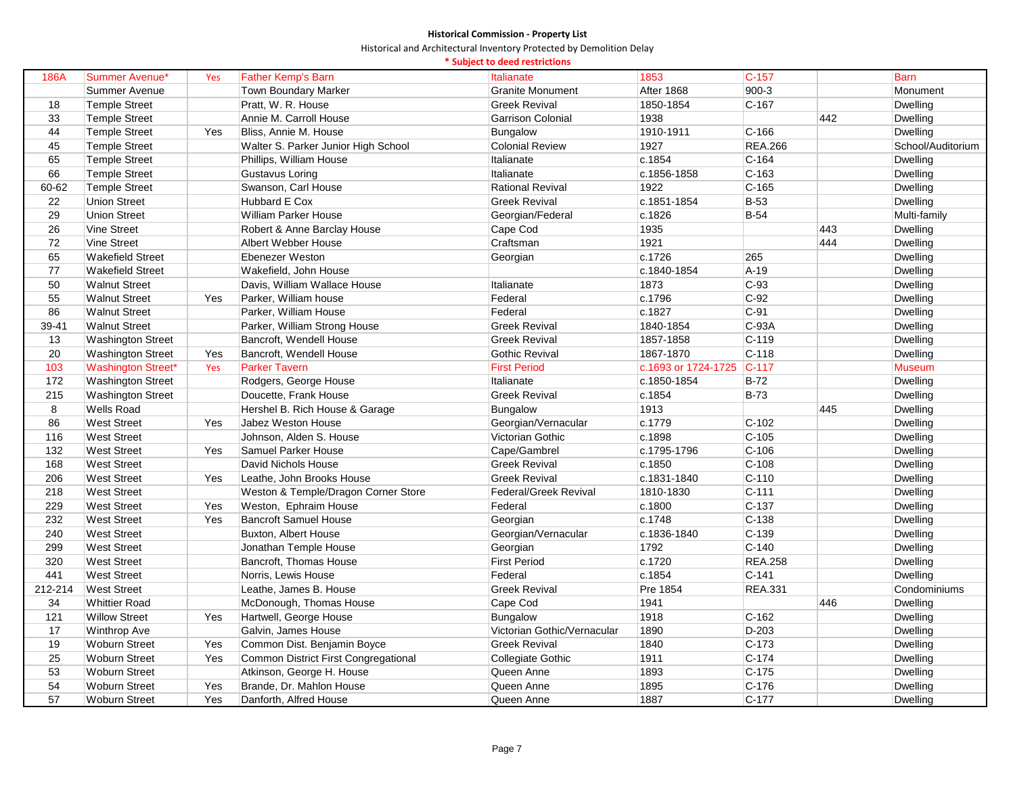|         |                           |     |                                      | * Subject to deed restrictions |                     |                |     |                   |
|---------|---------------------------|-----|--------------------------------------|--------------------------------|---------------------|----------------|-----|-------------------|
| 186A    | Summer Avenue*            | Yes | <b>Father Kemp's Barn</b>            | Italianate                     | 1853                | $C-157$        |     | <b>Barn</b>       |
|         | Summer Avenue             |     | Town Boundary Marker                 | <b>Granite Monument</b>        | After 1868          | $900-3$        |     | Monument          |
| 18      | <b>Temple Street</b>      |     | Pratt, W. R. House                   | <b>Greek Revival</b>           | 1850-1854           | $C-167$        |     | <b>Dwelling</b>   |
| 33      | <b>Temple Street</b>      |     | Annie M. Carroll House               | <b>Garrison Colonial</b>       | 1938                |                | 442 | Dwelling          |
| 44      | <b>Temple Street</b>      | Yes | Bliss, Annie M. House                | Bungalow                       | 1910-1911           | $C-166$        |     | Dwelling          |
| 45      | <b>Temple Street</b>      |     | Walter S. Parker Junior High School  | <b>Colonial Review</b>         | 1927                | <b>REA.266</b> |     | School/Auditorium |
| 65      | <b>Temple Street</b>      |     | Phillips, William House              | Italianate                     | c.1854              | $C-164$        |     | Dwelling          |
| 66      | <b>Temple Street</b>      |     | Gustavus Loring                      | Italianate                     | c.1856-1858         | $C-163$        |     | Dwelling          |
| 60-62   | <b>Temple Street</b>      |     | Swanson, Carl House                  | <b>Rational Revival</b>        | 1922                | $C-165$        |     | Dwelling          |
| 22      | <b>Union Street</b>       |     | Hubbard E Cox                        | <b>Greek Revival</b>           | c.1851-1854         | $B-53$         |     | Dwelling          |
| 29      | <b>Union Street</b>       |     | <b>William Parker House</b>          | Georgian/Federal               | c.1826              | $B-54$         |     | Multi-family      |
| 26      | Vine Street               |     | Robert & Anne Barclay House          | Cape Cod                       | 1935                |                | 443 | Dwelling          |
| 72      | Vine Street               |     | Albert Webber House                  | Craftsman                      | 1921                |                | 444 | Dwelling          |
| 65      | <b>Wakefield Street</b>   |     | Ebenezer Weston                      | Georgian                       | c.1726              | 265            |     | Dwelling          |
| 77      | <b>Wakefield Street</b>   |     | Wakefield, John House                |                                | c.1840-1854         | $A-19$         |     | Dwelling          |
| 50      | <b>Walnut Street</b>      |     | Davis, William Wallace House         | Italianate                     | 1873                | $C-93$         |     | Dwelling          |
| 55      | <b>Walnut Street</b>      | Yes | Parker, William house                | Federal                        | c.1796              | $C-92$         |     | Dwelling          |
| 86      | <b>Walnut Street</b>      |     | Parker, William House                | Federal                        | c.1827              | $C-91$         |     | Dwelling          |
| 39-41   | <b>Walnut Street</b>      |     | Parker, William Strong House         | <b>Greek Revival</b>           | 1840-1854           | C-93A          |     | Dwelling          |
| 13      | <b>Washington Street</b>  |     | Bancroft, Wendell House              | <b>Greek Revival</b>           | 1857-1858           | $C-119$        |     | Dwelling          |
| 20      | <b>Washington Street</b>  | Yes | Bancroft, Wendell House              | <b>Gothic Revival</b>          | 1867-1870           | $C-118$        |     | <b>Dwelling</b>   |
| 103     | <b>Washington Street*</b> | Yes | <b>Parker Tavern</b>                 | <b>First Period</b>            | c.1693 or 1724-1725 | $C-117$        |     | <b>Museum</b>     |
| 172     | <b>Washington Street</b>  |     | Rodgers, George House                | Italianate                     | c.1850-1854         | $B-72$         |     | Dwelling          |
| 215     | <b>Washington Street</b>  |     | Doucette, Frank House                | <b>Greek Revival</b>           | c.1854              | $B-73$         |     | Dwelling          |
| $\bf 8$ | <b>Wells Road</b>         |     | Hershel B. Rich House & Garage       | Bungalow                       | 1913                |                | 445 | Dwelling          |
| 86      | <b>West Street</b>        | Yes | Jabez Weston House                   | Georgian/Vernacular            | c.1779              | $C-102$        |     | Dwelling          |
| 116     | <b>West Street</b>        |     | Johnson, Alden S. House              | Victorian Gothic               | c.1898              | $C-105$        |     | Dwelling          |
| 132     | <b>West Street</b>        | Yes | Samuel Parker House                  | Cape/Gambrel                   | c.1795-1796         | $C-106$        |     | Dwelling          |
| 168     | <b>West Street</b>        |     | David Nichols House                  | <b>Greek Revival</b>           | c.1850              | $C-108$        |     | Dwelling          |
| 206     | <b>West Street</b>        | Yes | Leathe, John Brooks House            | <b>Greek Revival</b>           | c.1831-1840         | $C-110$        |     | Dwelling          |
| 218     | <b>West Street</b>        |     | Weston & Temple/Dragon Corner Store  | Federal/Greek Revival          | 1810-1830           | $C-111$        |     | Dwelling          |
| 229     | <b>West Street</b>        | Yes | Weston, Ephraim House                | Federal                        | c.1800              | $C-137$        |     | Dwelling          |
| 232     | <b>West Street</b>        | Yes | <b>Bancroft Samuel House</b>         | Georgian                       | c.1748              | $C-138$        |     | Dwelling          |
| 240     | <b>West Street</b>        |     | Buxton, Albert House                 | Georgian/Vernacular            | c.1836-1840         | $C-139$        |     | Dwelling          |
| 299     | <b>West Street</b>        |     | Jonathan Temple House                | Georgian                       | 1792                | $C-140$        |     | Dwelling          |
| 320     | <b>West Street</b>        |     | Bancroft, Thomas House               | <b>First Period</b>            | c.1720              | <b>REA.258</b> |     | Dwelling          |
| 441     | <b>West Street</b>        |     | Norris, Lewis House                  | Federal                        | c.1854              | $C-141$        |     | Dwelling          |
| 212-214 | <b>West Street</b>        |     | Leathe, James B. House               | <b>Greek Revival</b>           | Pre 1854            | <b>REA.331</b> |     | Condominiums      |
| 34      | <b>Whittier Road</b>      |     | McDonough, Thomas House              | Cape Cod                       | 1941                |                | 446 | Dwelling          |
| 121     | <b>Willow Street</b>      | Yes | Hartwell, George House               | Bungalow                       | 1918                | $C-162$        |     | Dwelling          |
| 17      | Winthrop Ave              |     | Galvin, James House                  | Victorian Gothic/Vernacular    | 1890                | $D-203$        |     | Dwelling          |
| 19      | <b>Woburn Street</b>      | Yes | Common Dist. Benjamin Boyce          | <b>Greek Revival</b>           | 1840                | $C-173$        |     | Dwelling          |
| 25      | <b>Woburn Street</b>      | Yes | Common District First Congregational | <b>Collegiate Gothic</b>       | 1911                | $C-174$        |     | Dwelling          |
| 53      | <b>Woburn Street</b>      |     | Atkinson, George H. House            | Queen Anne                     | 1893                | $C-175$        |     | Dwelling          |
| 54      | <b>Woburn Street</b>      | Yes | Brande, Dr. Mahlon House             | Queen Anne                     | 1895                | $C-176$        |     | Dwelling          |
| 57      | Woburn Street             | Yes | Danforth, Alfred House               | Queen Anne                     | 1887                | $C-177$        |     | Dwelling          |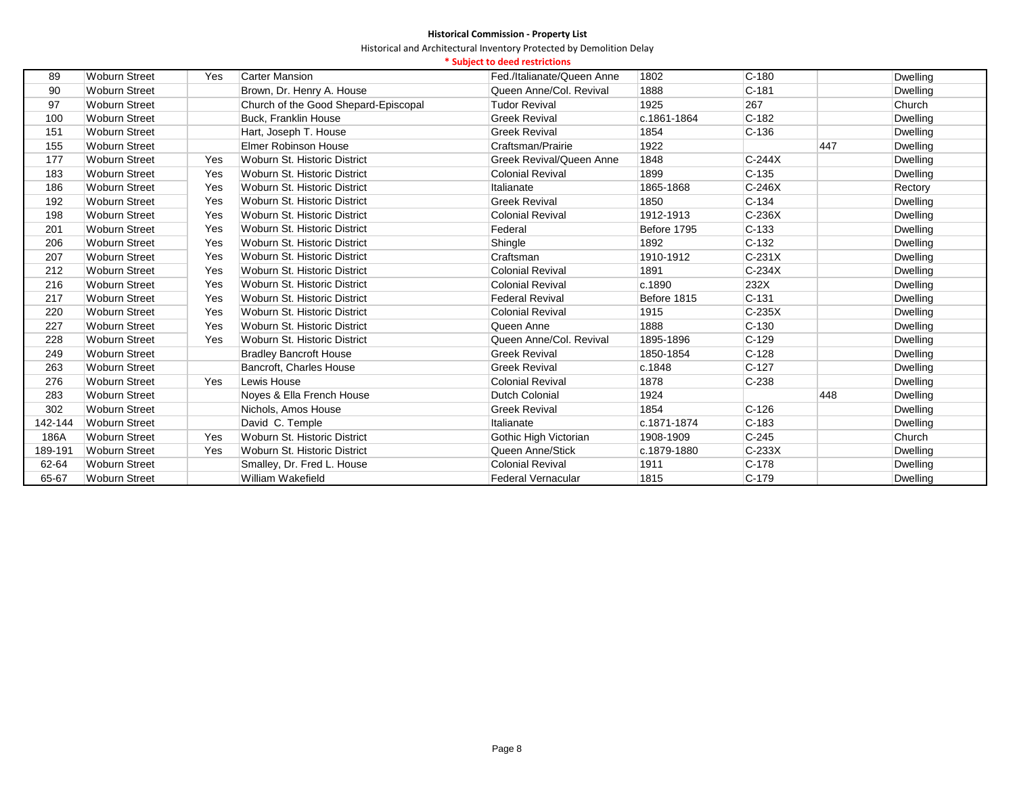|         |                      |     |                                      | * Subject to deed restrictions |             |           |     |                 |
|---------|----------------------|-----|--------------------------------------|--------------------------------|-------------|-----------|-----|-----------------|
| 89      | <b>Woburn Street</b> | Yes | <b>Carter Mansion</b>                | Fed./Italianate/Queen Anne     | 1802        | $C - 180$ |     | <b>Dwelling</b> |
| 90      | <b>Woburn Street</b> |     | Brown, Dr. Henry A. House            | Queen Anne/Col. Revival        | 1888        | $C-181$   |     | Dwelling        |
| 97      | <b>Woburn Street</b> |     | Church of the Good Shepard-Episcopal | <b>Tudor Revival</b>           | 1925        | 267       |     | Church          |
| 100     | <b>Woburn Street</b> |     | <b>Buck, Franklin House</b>          | <b>Greek Revival</b>           | c.1861-1864 | $C-182$   |     | Dwelling        |
| 151     | <b>Woburn Street</b> |     | Hart, Joseph T. House                | <b>Greek Revival</b>           | 1854        | $C-136$   |     | Dwelling        |
| 155     | Woburn Street        |     | <b>Elmer Robinson House</b>          | Craftsman/Prairie              | 1922        |           | 447 | Dwelling        |
| 177     | <b>Woburn Street</b> | Yes | Woburn St. Historic District         | Greek Revival/Queen Anne       | 1848        | $C-244X$  |     | Dwelling        |
| 183     | <b>Woburn Street</b> | Yes | Woburn St. Historic District         | <b>Colonial Revival</b>        | 1899        | $C-135$   |     | Dwelling        |
| 186     | <b>Woburn Street</b> | Yes | Woburn St. Historic District         | Italianate                     | 1865-1868   | $C-246X$  |     | Rectory         |
| 192     | <b>Woburn Street</b> | Yes | Woburn St. Historic District         | <b>Greek Revival</b>           | 1850        | $C - 134$ |     | <b>Dwelling</b> |
| 198     | <b>Woburn Street</b> | Yes | Woburn St. Historic District         | <b>Colonial Revival</b>        | 1912-1913   | $C-236X$  |     | <b>Dwelling</b> |
| 201     | <b>Woburn Street</b> | Yes | Woburn St. Historic District         | Federal                        | Before 1795 | $C-133$   |     | Dwelling        |
| 206     | <b>Woburn Street</b> | Yes | Woburn St. Historic District         | Shingle                        | 1892        | $C-132$   |     | Dwelling        |
| 207     | <b>Woburn Street</b> | Yes | Woburn St. Historic District         | Craftsman                      | 1910-1912   | $C-231X$  |     | Dwelling        |
| 212     | <b>Woburn Street</b> | Yes | Woburn St. Historic District         | <b>Colonial Revival</b>        | 1891        | $C-234X$  |     | <b>Dwelling</b> |
| 216     | <b>Woburn Street</b> | Yes | Woburn St. Historic District         | <b>Colonial Revival</b>        | c.1890      | 232X      |     | Dwelling        |
| 217     | <b>Woburn Street</b> | Yes | Woburn St. Historic District         | <b>Federal Revival</b>         | Before 1815 | $C-131$   |     | Dwelling        |
| 220     | <b>Woburn Street</b> | Yes | Woburn St. Historic District         | <b>Colonial Revival</b>        | 1915        | $C-235X$  |     | Dwelling        |
| 227     | <b>Woburn Street</b> | Yes | Woburn St. Historic District         | Queen Anne                     | 1888        | $C-130$   |     | Dwelling        |
| 228     | <b>Woburn Street</b> | Yes | Woburn St. Historic District         | Queen Anne/Col. Revival        | 1895-1896   | $C-129$   |     | Dwelling        |
| 249     | <b>Woburn Street</b> |     | <b>Bradley Bancroft House</b>        | <b>Greek Revival</b>           | 1850-1854   | $C-128$   |     | Dwelling        |
| 263     | <b>Woburn Street</b> |     | Bancroft, Charles House              | <b>Greek Revival</b>           | c.1848      | $C-127$   |     | Dwelling        |
| 276     | <b>Woburn Street</b> | Yes | Lewis House                          | <b>Colonial Revival</b>        | 1878        | $C-238$   |     | <b>Dwelling</b> |
| 283     | <b>Woburn Street</b> |     | Noyes & Ella French House            | <b>Dutch Colonial</b>          | 1924        |           | 448 | Dwelling        |
| 302     | <b>Woburn Street</b> |     | Nichols, Amos House                  | <b>Greek Revival</b>           | 1854        | $C - 126$ |     | Dwelling        |
| 142-144 | Woburn Street        |     | David C. Temple                      | Italianate                     | c.1871-1874 | $C-183$   |     | Dwelling        |
| 186A    | <b>Woburn Street</b> | Yes | Woburn St. Historic District         | Gothic High Victorian          | 1908-1909   | $C-245$   |     | Church          |
| 189-191 | <b>Woburn Street</b> | Yes | Woburn St. Historic District         | Queen Anne/Stick               | c.1879-1880 | $C-233X$  |     | Dwelling        |
| 62-64   | <b>Woburn Street</b> |     | Smalley, Dr. Fred L. House           | <b>Colonial Revival</b>        | 1911        | $C-178$   |     | Dwelling        |
| 65-67   | <b>Woburn Street</b> |     | William Wakefield                    | Federal Vernacular             | 1815        | $C-179$   |     | <b>Dwelling</b> |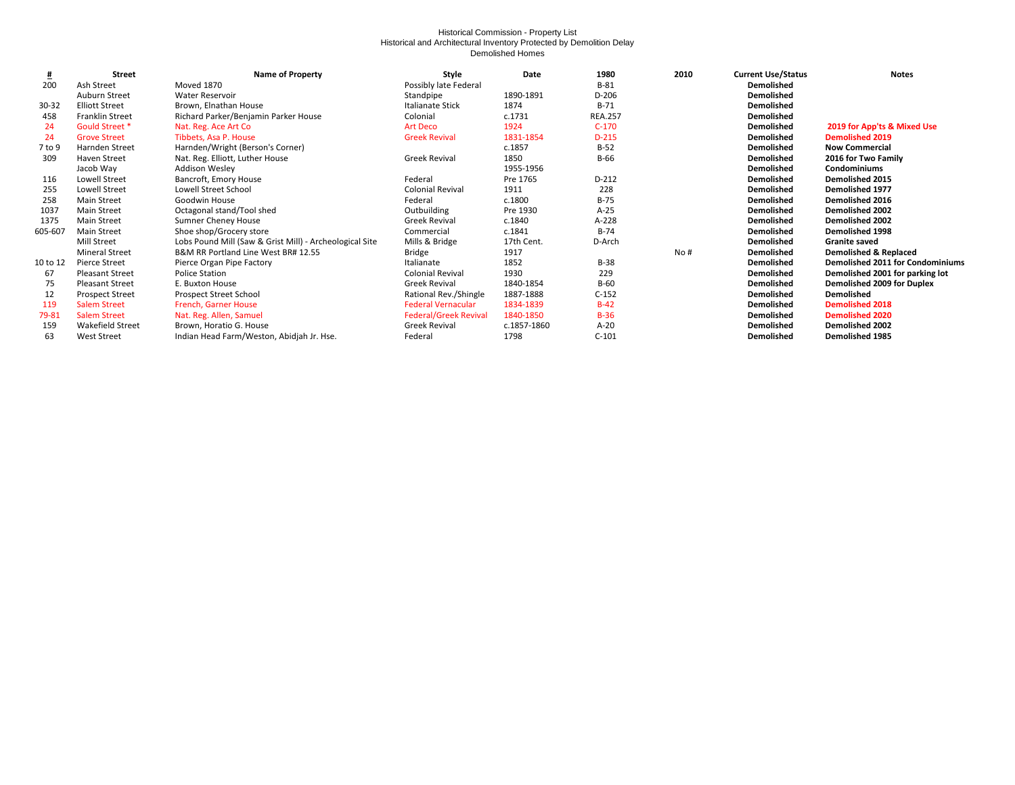#### Historical Commission - Property List Historical and Architectural Inventory Protected by Demolition Delay Demolished Homes

| 坓        | <b>Street</b>          | <b>Name of Property</b>                                 | Style                        | Date        | 1980           | 2010 | <b>Current Use/Status</b> | <b>Notes</b>                            |
|----------|------------------------|---------------------------------------------------------|------------------------------|-------------|----------------|------|---------------------------|-----------------------------------------|
| 200      | Ash Street             | Moved 1870                                              | Possibly late Federal        |             | $B-81$         |      | <b>Demolished</b>         |                                         |
|          | Auburn Street          | <b>Water Reservoir</b>                                  | Standpipe                    | 1890-1891   | D-206          |      | <b>Demolished</b>         |                                         |
| 30-32    | <b>Elliott Street</b>  | Brown, Elnathan House                                   | Italianate Stick             | 1874        | $B-71$         |      | Demolished                |                                         |
| 458      | <b>Franklin Street</b> | Richard Parker/Benjamin Parker House                    | Colonial                     | c.1731      | <b>REA.257</b> |      | <b>Demolished</b>         |                                         |
| 24       | Gould Street *         | Nat. Reg. Ace Art Co                                    | <b>Art Deco</b>              | 1924        | $C-170$        |      | Demolished                | 2019 for App'ts & Mixed Use             |
| 24       | <b>Grove Street</b>    | Tibbets, Asa P. House                                   | <b>Greek Revival</b>         | 1831-1854   | $D-215$        |      | Demolished                | <b>Demolished 2019</b>                  |
| 7 to 9   | <b>Harnden Street</b>  | Harnden/Wright (Berson's Corner)                        |                              | c.1857      | $B-52$         |      | <b>Demolished</b>         | <b>Now Commercial</b>                   |
| 309      | <b>Haven Street</b>    | Nat. Reg. Elliott, Luther House                         | <b>Greek Revival</b>         | 1850        | $B-66$         |      | <b>Demolished</b>         | 2016 for Two Family                     |
|          | Jacob Way              | <b>Addison Wesley</b>                                   |                              | 1955-1956   |                |      | Demolished                | <b>Condominiums</b>                     |
| 116      | Lowell Street          | Bancroft, Emory House                                   | Federal                      | Pre 1765    | D-212          |      | Demolished                | <b>Demolished 2015</b>                  |
| 255      | Lowell Street          | Lowell Street School                                    | <b>Colonial Revival</b>      | 1911        | 228            |      | <b>Demolished</b>         | <b>Demolished 1977</b>                  |
| 258      | Main Street            | Goodwin House                                           | Federal                      | c.1800      | $B-75$         |      | Demolished                | Demolished 2016                         |
| 1037     | <b>Main Street</b>     | Octagonal stand/Tool shed                               | Outbuilding                  | Pre 1930    | $A-25$         |      | <b>Demolished</b>         | Demolished 2002                         |
| 1375     | <b>Main Street</b>     | <b>Sumner Cheney House</b>                              | <b>Greek Revival</b>         | c.1840      | A-228          |      | <b>Demolished</b>         | Demolished 2002                         |
| 605-607  | <b>Main Street</b>     | Shoe shop/Grocery store                                 | Commercial                   | c.1841      | $B-74$         |      | <b>Demolished</b>         | <b>Demolished 1998</b>                  |
|          | Mill Street            | Lobs Pound Mill (Saw & Grist Mill) - Archeological Site | Mills & Bridge               | 17th Cent.  | D-Arch         |      | Demolished                | <b>Granite saved</b>                    |
|          | <b>Mineral Street</b>  | B&M RR Portland Line West BR# 12.55                     | Bridge                       | 1917        |                | No#  | <b>Demolished</b>         | <b>Demolished &amp; Replaced</b>        |
| 10 to 12 | Pierce Street          | Pierce Organ Pipe Factory                               | Italianate                   | 1852        | $B-38$         |      | <b>Demolished</b>         | <b>Demolished 2011 for Condominiums</b> |
| 67       | <b>Pleasant Street</b> | <b>Police Station</b>                                   | <b>Colonial Revival</b>      | 1930        | 229            |      | Demolished                | Demolished 2001 for parking lot         |
| 75       | <b>Pleasant Street</b> | E. Buxton House                                         | <b>Greek Revival</b>         | 1840-1854   | $B-60$         |      | <b>Demolished</b>         | Demolished 2009 for Duplex              |
| 12       | <b>Prospect Street</b> | Prospect Street School                                  | Rational Rev./Shingle        | 1887-1888   | $C-152$        |      | Demolished                | Demolished                              |
| 119      | <b>Salem Street</b>    | French, Garner House                                    | <b>Federal Vernacular</b>    | 1834-1839   | $B-42$         |      | <b>Demolished</b>         | <b>Demolished 2018</b>                  |
| 79-81    | <b>Salem Street</b>    | Nat. Reg. Allen, Samuel                                 | <b>Federal/Greek Revival</b> | 1840-1850   | $B-36$         |      | <b>Demolished</b>         | <b>Demolished 2020</b>                  |
| 159      | Wakefield Street       | Brown, Horatio G. House                                 | <b>Greek Revival</b>         | c.1857-1860 | $A-20$         |      | <b>Demolished</b>         | <b>Demolished 2002</b>                  |
| 63       | <b>West Street</b>     | Indian Head Farm/Weston, Abidjah Jr. Hse.               | Federal                      | 1798        | $C-101$        |      | Demolished                | <b>Demolished 1985</b>                  |